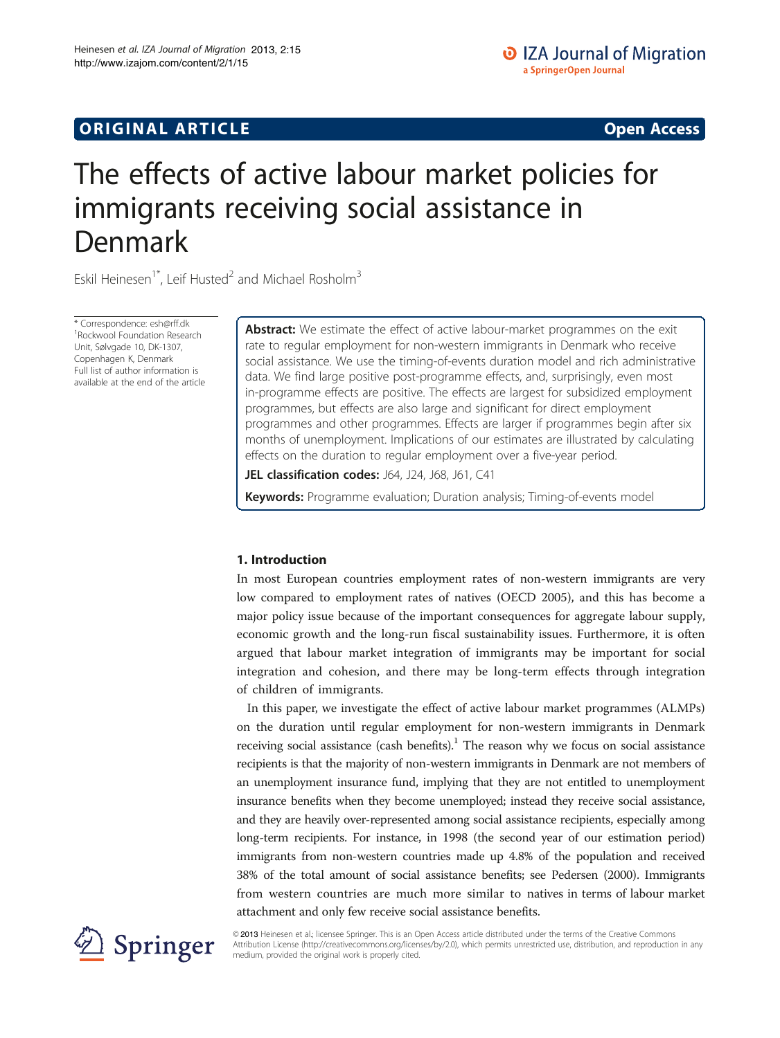## **ORIGINAL ARTICLE CONSUMING A LIGACION** CONSUMING A LIGACION CONSUMING A LIGACION CONSUMING A LIGACION CONSUMING A LIGACION CONSUMING A LIGACION CONSUMING A LIGACION CONSUMING A LIGACION CONSUMING A LIGACION CONSUMING A

# The effects of active labour market policies for immigrants receiving social assistance in Denmark

Eskil Heinesen<sup>1\*</sup>, Leif Husted<sup>2</sup> and Michael Rosholm<sup>3</sup>

\* Correspondence: [esh@rff.dk](mailto:esh@rff.dk) <sup>1</sup> Rockwool Foundation Research Unit, Sølvgade 10, DK-1307, Copenhagen K, Denmark Full list of author information is available at the end of the article

Abstract: We estimate the effect of active labour-market programmes on the exit rate to regular employment for non-western immigrants in Denmark who receive social assistance. We use the timing-of-events duration model and rich administrative data. We find large positive post-programme effects, and, surprisingly, even most in-programme effects are positive. The effects are largest for subsidized employment programmes, but effects are also large and significant for direct employment programmes and other programmes. Effects are larger if programmes begin after six months of unemployment. Implications of our estimates are illustrated by calculating effects on the duration to regular employment over a five-year period.

JEL classification codes: J64, J24, J68, J61, C41

Keywords: Programme evaluation; Duration analysis; Timing-of-events model

## 1. Introduction

In most European countries employment rates of non-western immigrants are very low compared to employment rates of natives (OECD [2005](#page-21-0)), and this has become a major policy issue because of the important consequences for aggregate labour supply, economic growth and the long-run fiscal sustainability issues. Furthermore, it is often argued that labour market integration of immigrants may be important for social integration and cohesion, and there may be long-term effects through integration of children of immigrants.

In this paper, we investigate the effect of active labour market programmes (ALMPs) on the duration until regular employment for non-western immigrants in Denmark receiving social assistance (cash benefits).<sup>1</sup> The reason why we focus on social assistance recipients is that the majority of non-western immigrants in Denmark are not members of an unemployment insurance fund, implying that they are not entitled to unemployment insurance benefits when they become unemployed; instead they receive social assistance, and they are heavily over-represented among social assistance recipients, especially among long-term recipients. For instance, in 1998 (the second year of our estimation period) immigrants from non-western countries made up 4.8% of the population and received 38% of the total amount of social assistance benefits; see Pedersen [\(2000](#page-21-0)). Immigrants from western countries are much more similar to natives in terms of labour market attachment and only few receive social assistance benefits.



© 2013 Heinesen et al.; licensee Springer. This is an Open Access article distributed under the terms of the Creative Commons Attribution License [\(http://creativecommons.org/licenses/by/2.0\)](http://creativecommons.org/licenses/by/2.0), which permits unrestricted use, distribution, and reproduction in any medium, provided the original work is properly cited.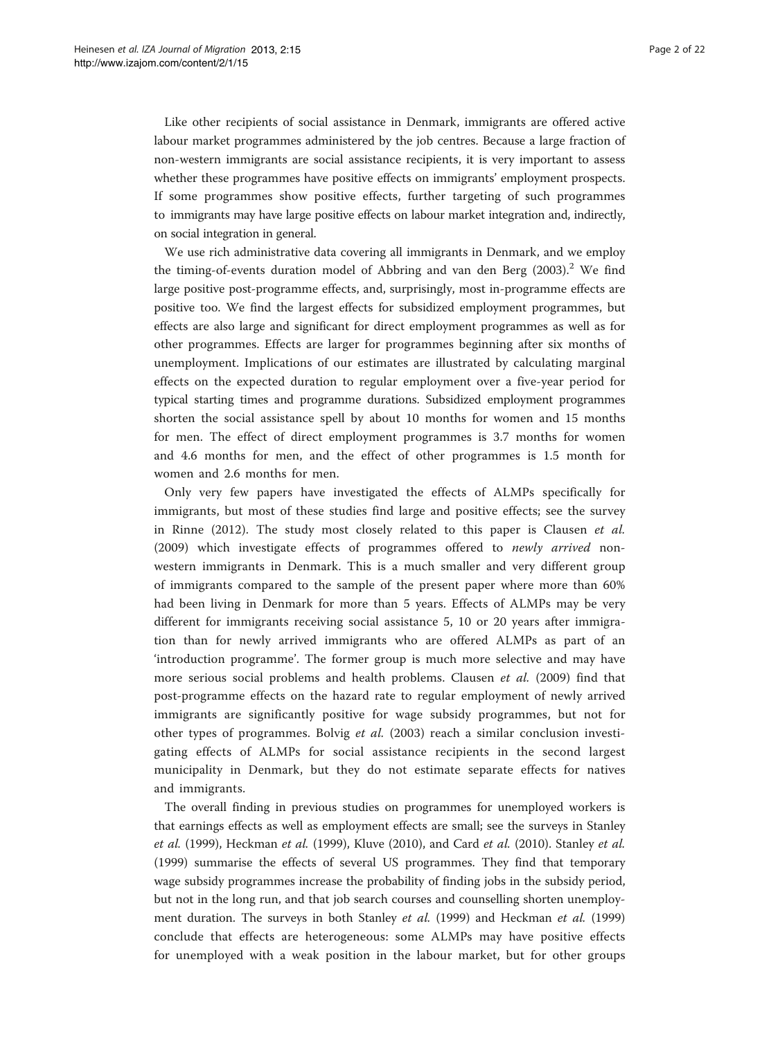Like other recipients of social assistance in Denmark, immigrants are offered active labour market programmes administered by the job centres. Because a large fraction of non-western immigrants are social assistance recipients, it is very important to assess whether these programmes have positive effects on immigrants' employment prospects. If some programmes show positive effects, further targeting of such programmes to immigrants may have large positive effects on labour market integration and, indirectly, on social integration in general.

We use rich administrative data covering all immigrants in Denmark, and we employ the timing-of-events duration model of Abbring and van den Berg  $(2003)^2$  $(2003)^2$  $(2003)^2$ . We find large positive post-programme effects, and, surprisingly, most in-programme effects are positive too. We find the largest effects for subsidized employment programmes, but effects are also large and significant for direct employment programmes as well as for other programmes. Effects are larger for programmes beginning after six months of unemployment. Implications of our estimates are illustrated by calculating marginal effects on the expected duration to regular employment over a five-year period for typical starting times and programme durations. Subsidized employment programmes shorten the social assistance spell by about 10 months for women and 15 months for men. The effect of direct employment programmes is 3.7 months for women and 4.6 months for men, and the effect of other programmes is 1.5 month for women and 2.6 months for men.

Only very few papers have investigated the effects of ALMPs specifically for immigrants, but most of these studies find large and positive effects; see the survey in Rinne ([2012\)](#page-21-0). The study most closely related to this paper is Clausen et al. ([2009\)](#page-21-0) which investigate effects of programmes offered to newly arrived nonwestern immigrants in Denmark. This is a much smaller and very different group of immigrants compared to the sample of the present paper where more than 60% had been living in Denmark for more than 5 years. Effects of ALMPs may be very different for immigrants receiving social assistance 5, 10 or 20 years after immigration than for newly arrived immigrants who are offered ALMPs as part of an 'introduction programme'. The former group is much more selective and may have more serious social problems and health problems. Clausen et al. ([2009\)](#page-21-0) find that post-programme effects on the hazard rate to regular employment of newly arrived immigrants are significantly positive for wage subsidy programmes, but not for other types of programmes. Bolvig et al. ([2003](#page-21-0)) reach a similar conclusion investigating effects of ALMPs for social assistance recipients in the second largest municipality in Denmark, but they do not estimate separate effects for natives and immigrants.

The overall finding in previous studies on programmes for unemployed workers is that earnings effects as well as employment effects are small; see the surveys in Stanley et al. ([1999](#page-21-0)), Heckman et al. [\(1999\)](#page-21-0), Kluve ([2010\)](#page-21-0), and Card et al. [\(2010\)](#page-21-0). Stanley et al. ([1999](#page-21-0)) summarise the effects of several US programmes. They find that temporary wage subsidy programmes increase the probability of finding jobs in the subsidy period, but not in the long run, and that job search courses and counselling shorten unemploy-ment duration. The surveys in both Stanley et al. [\(1999\)](#page-21-0) and Heckman et al. ([1999](#page-21-0)) conclude that effects are heterogeneous: some ALMPs may have positive effects for unemployed with a weak position in the labour market, but for other groups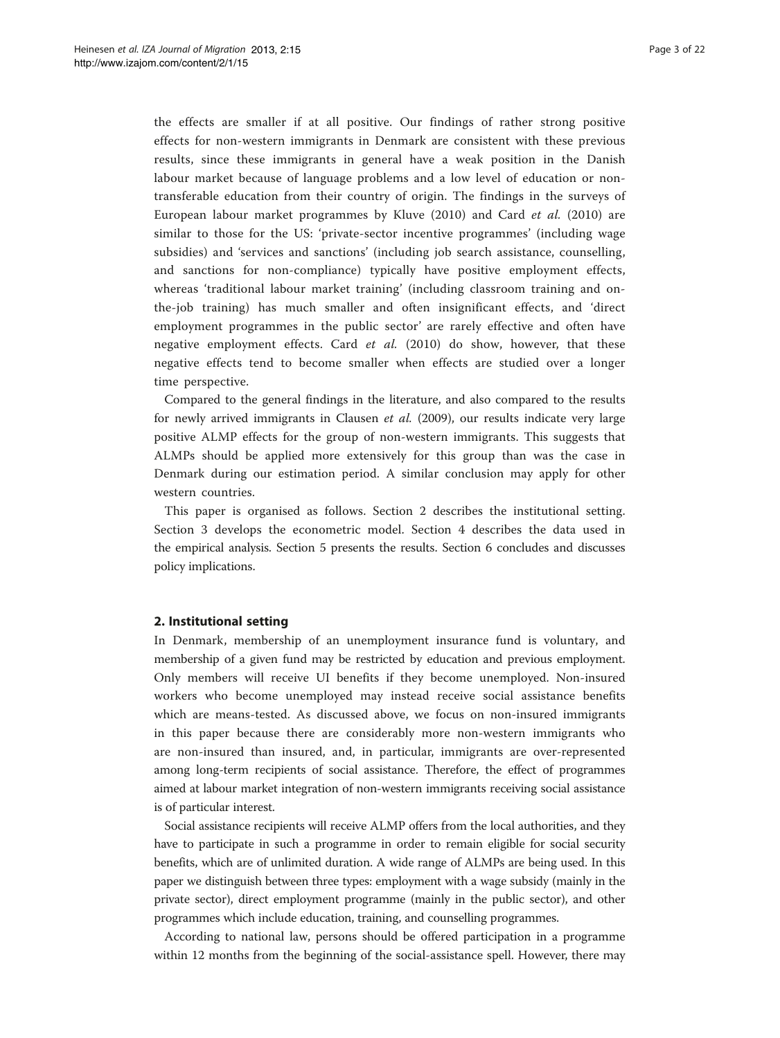the effects are smaller if at all positive. Our findings of rather strong positive effects for non-western immigrants in Denmark are consistent with these previous results, since these immigrants in general have a weak position in the Danish labour market because of language problems and a low level of education or nontransferable education from their country of origin. The findings in the surveys of European labour market programmes by Kluve [\(2010\)](#page-21-0) and Card et al. ([2010\)](#page-21-0) are similar to those for the US: 'private-sector incentive programmes' (including wage subsidies) and 'services and sanctions' (including job search assistance, counselling, and sanctions for non-compliance) typically have positive employment effects, whereas 'traditional labour market training' (including classroom training and onthe-job training) has much smaller and often insignificant effects, and 'direct employment programmes in the public sector' are rarely effective and often have negative employment effects. Card et al. [\(2010\)](#page-21-0) do show, however, that these negative effects tend to become smaller when effects are studied over a longer time perspective.

Compared to the general findings in the literature, and also compared to the results for newly arrived immigrants in Clausen et al. [\(2009\)](#page-21-0), our results indicate very large positive ALMP effects for the group of non-western immigrants. This suggests that ALMPs should be applied more extensively for this group than was the case in Denmark during our estimation period. A similar conclusion may apply for other western countries.

This paper is organised as follows. Section 2 describes the institutional setting. Section [3](#page-3-0) develops the econometric model. Section [4](#page-7-0) describes the data used in the empirical analysis. Section [5](#page-9-0) presents the results. Section [6](#page-13-0) concludes and discusses policy implications.

#### 2. Institutional setting

In Denmark, membership of an unemployment insurance fund is voluntary, and membership of a given fund may be restricted by education and previous employment. Only members will receive UI benefits if they become unemployed. Non-insured workers who become unemployed may instead receive social assistance benefits which are means-tested. As discussed above, we focus on non-insured immigrants in this paper because there are considerably more non-western immigrants who are non-insured than insured, and, in particular, immigrants are over-represented among long-term recipients of social assistance. Therefore, the effect of programmes aimed at labour market integration of non-western immigrants receiving social assistance is of particular interest.

Social assistance recipients will receive ALMP offers from the local authorities, and they have to participate in such a programme in order to remain eligible for social security benefits, which are of unlimited duration. A wide range of ALMPs are being used. In this paper we distinguish between three types: employment with a wage subsidy (mainly in the private sector), direct employment programme (mainly in the public sector), and other programmes which include education, training, and counselling programmes.

According to national law, persons should be offered participation in a programme within 12 months from the beginning of the social-assistance spell. However, there may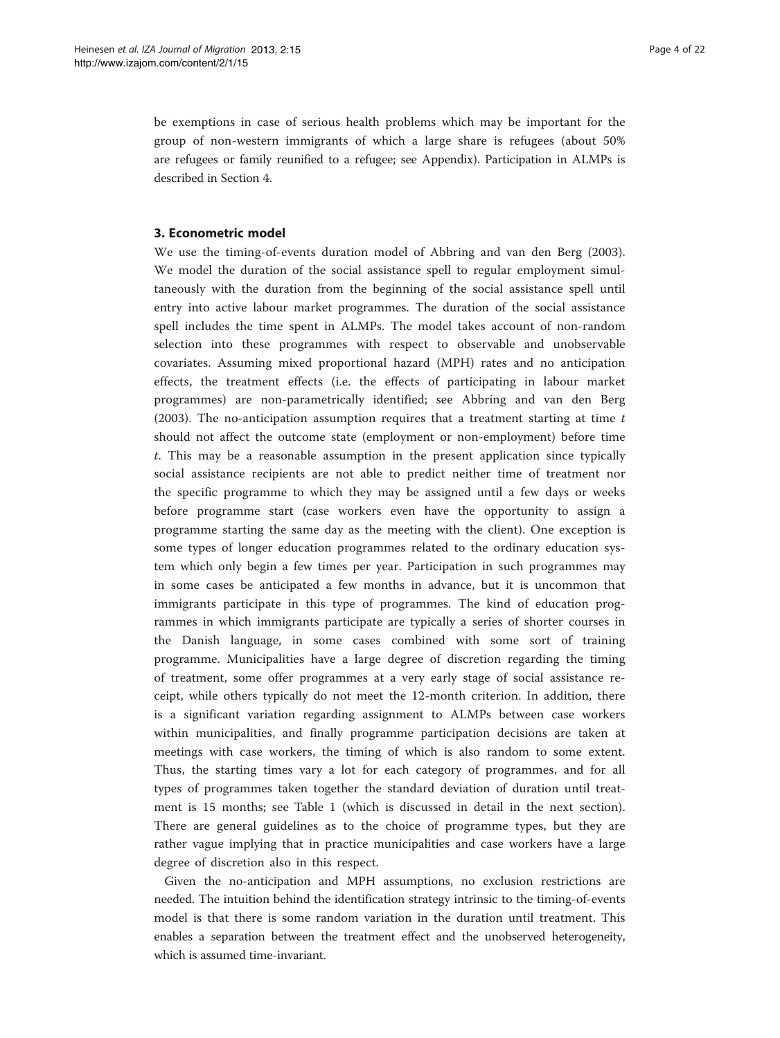<span id="page-3-0"></span>be exemptions in case of serious health problems which may be important for the group of non-western immigrants of which a large share is refugees (about 50% are refugees or family reunified to a refugee; see [Appendix](#page-15-0)). Participation in ALMPs is described in Section [4.](#page-7-0)

#### 3. Econometric model

We use the timing-of-events duration model of Abbring and van den Berg [\(2003](#page-21-0)). We model the duration of the social assistance spell to regular employment simultaneously with the duration from the beginning of the social assistance spell until entry into active labour market programmes. The duration of the social assistance spell includes the time spent in ALMPs. The model takes account of non-random selection into these programmes with respect to observable and unobservable covariates. Assuming mixed proportional hazard (MPH) rates and no anticipation effects, the treatment effects (i.e. the effects of participating in labour market programmes) are non-parametrically identified; see Abbring and van den Berg ([2003\)](#page-21-0). The no-anticipation assumption requires that a treatment starting at time  $t$ should not affect the outcome state (employment or non-employment) before time  $t$ . This may be a reasonable assumption in the present application since typically social assistance recipients are not able to predict neither time of treatment nor the specific programme to which they may be assigned until a few days or weeks before programme start (case workers even have the opportunity to assign a programme starting the same day as the meeting with the client). One exception is some types of longer education programmes related to the ordinary education system which only begin a few times per year. Participation in such programmes may in some cases be anticipated a few months in advance, but it is uncommon that immigrants participate in this type of programmes. The kind of education programmes in which immigrants participate are typically a series of shorter courses in the Danish language, in some cases combined with some sort of training programme. Municipalities have a large degree of discretion regarding the timing of treatment, some offer programmes at a very early stage of social assistance receipt, while others typically do not meet the 12-month criterion. In addition, there is a significant variation regarding assignment to ALMPs between case workers within municipalities, and finally programme participation decisions are taken at meetings with case workers, the timing of which is also random to some extent. Thus, the starting times vary a lot for each category of programmes, and for all types of programmes taken together the standard deviation of duration until treatment is 15 months; see Table [1](#page-4-0) (which is discussed in detail in the next section). There are general guidelines as to the choice of programme types, but they are rather vague implying that in practice municipalities and case workers have a large degree of discretion also in this respect.

Given the no-anticipation and MPH assumptions, no exclusion restrictions are needed. The intuition behind the identification strategy intrinsic to the timing-of-events model is that there is some random variation in the duration until treatment. This enables a separation between the treatment effect and the unobserved heterogeneity, which is assumed time-invariant.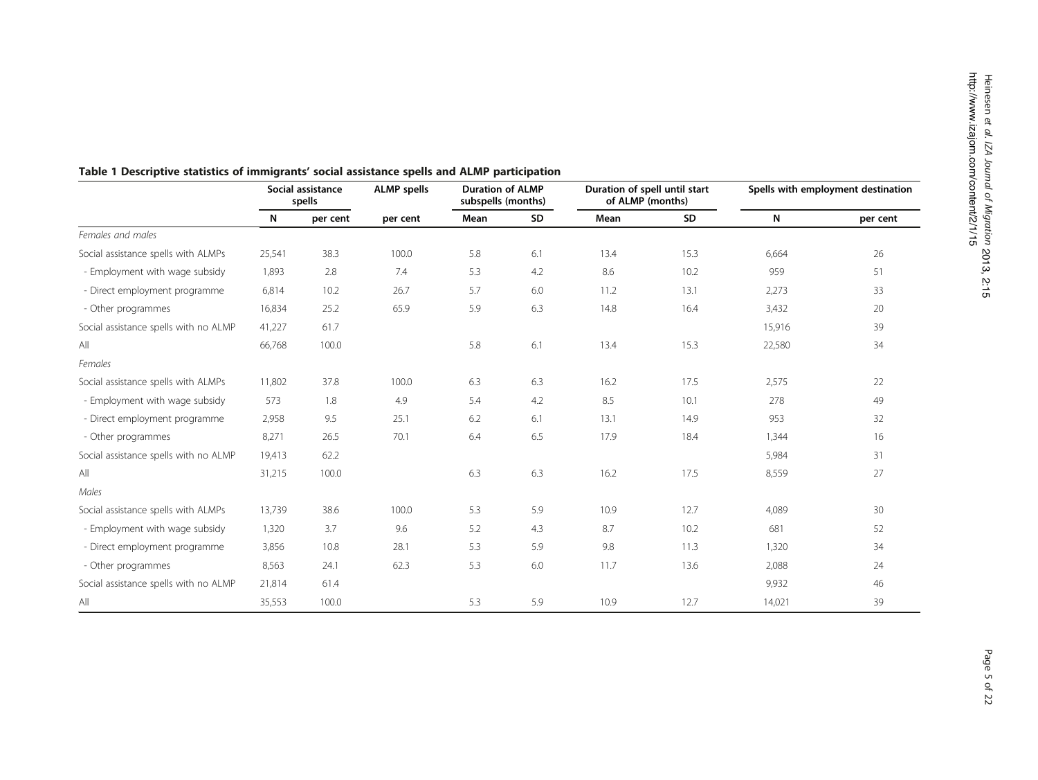|                                       |        | Social assistance<br>spells | <b>ALMP</b> spells | <b>Duration of ALMP</b><br>subspells (months) |     | Duration of spell until start<br>of ALMP (months) |      |        | Spells with employment destination |
|---------------------------------------|--------|-----------------------------|--------------------|-----------------------------------------------|-----|---------------------------------------------------|------|--------|------------------------------------|
|                                       | N      | per cent                    | per cent           | Mean                                          | SD  | Mean                                              | SD   | N      | per cent                           |
| Females and males                     |        |                             |                    |                                               |     |                                                   |      |        |                                    |
| Social assistance spells with ALMPs   | 25,541 | 38.3                        | 100.0              | 5.8                                           | 6.1 | 13.4                                              | 15.3 | 6,664  | 26                                 |
| - Employment with wage subsidy        | 1,893  | 2.8                         | 7.4                | 5.3                                           | 4.2 | 8.6                                               | 10.2 | 959    | 51                                 |
| - Direct employment programme         | 6,814  | 10.2                        | 26.7               | 5.7                                           | 6.0 | 11.2                                              | 13.1 | 2,273  | 33                                 |
| - Other programmes                    | 16,834 | 25.2                        | 65.9               | 5.9                                           | 6.3 | 14.8                                              | 16.4 | 3,432  | 20                                 |
| Social assistance spells with no ALMP | 41,227 | 61.7                        |                    |                                               |     |                                                   |      | 15,916 | 39                                 |
| All                                   | 66,768 | 100.0                       |                    | 5.8                                           | 6.1 | 13.4                                              | 15.3 | 22,580 | 34                                 |
| Females                               |        |                             |                    |                                               |     |                                                   |      |        |                                    |
| Social assistance spells with ALMPs   | 11,802 | 37.8                        | 100.0              | 6.3                                           | 6.3 | 16.2                                              | 17.5 | 2,575  | 22                                 |
| - Employment with wage subsidy        | 573    | 1.8                         | 4.9                | 5.4                                           | 4.2 | 8.5                                               | 10.1 | 278    | 49                                 |
| - Direct employment programme         | 2,958  | 9.5                         | 25.1               | 6.2                                           | 6.1 | 13.1                                              | 14.9 | 953    | 32                                 |
| - Other programmes                    | 8,271  | 26.5                        | 70.1               | 6.4                                           | 6.5 | 17.9                                              | 18.4 | 1,344  | 16                                 |
| Social assistance spells with no ALMP | 19,413 | 62.2                        |                    |                                               |     |                                                   |      | 5,984  | 31                                 |
| All                                   | 31,215 | 100.0                       |                    | 6.3                                           | 6.3 | 16.2                                              | 17.5 | 8,559  | 27                                 |
| Males                                 |        |                             |                    |                                               |     |                                                   |      |        |                                    |
| Social assistance spells with ALMPs   | 13,739 | 38.6                        | 100.0              | 5.3                                           | 5.9 | 10.9                                              | 12.7 | 4,089  | 30                                 |
| - Employment with wage subsidy        | 1,320  | 3.7                         | 9.6                | 5.2                                           | 4.3 | 8.7                                               | 10.2 | 681    | 52                                 |
| - Direct employment programme         | 3,856  | 10.8                        | 28.1               | 5.3                                           | 5.9 | 9.8                                               | 11.3 | 1,320  | 34                                 |
| - Other programmes                    | 8,563  | 24.1                        | 62.3               | 5.3                                           | 6.0 | 11.7                                              | 13.6 | 2,088  | 24                                 |
| Social assistance spells with no ALMP | 21,814 | 61.4                        |                    |                                               |     |                                                   |      | 9,932  | 46                                 |
| All                                   | 35,553 | 100.0                       |                    | 5.3                                           | 5.9 | 10.9                                              | 12.7 | 14,021 | 39                                 |

## <span id="page-4-0"></span>Table 1 Descriptive statistics of immigrants' social assistance spells and ALMP participation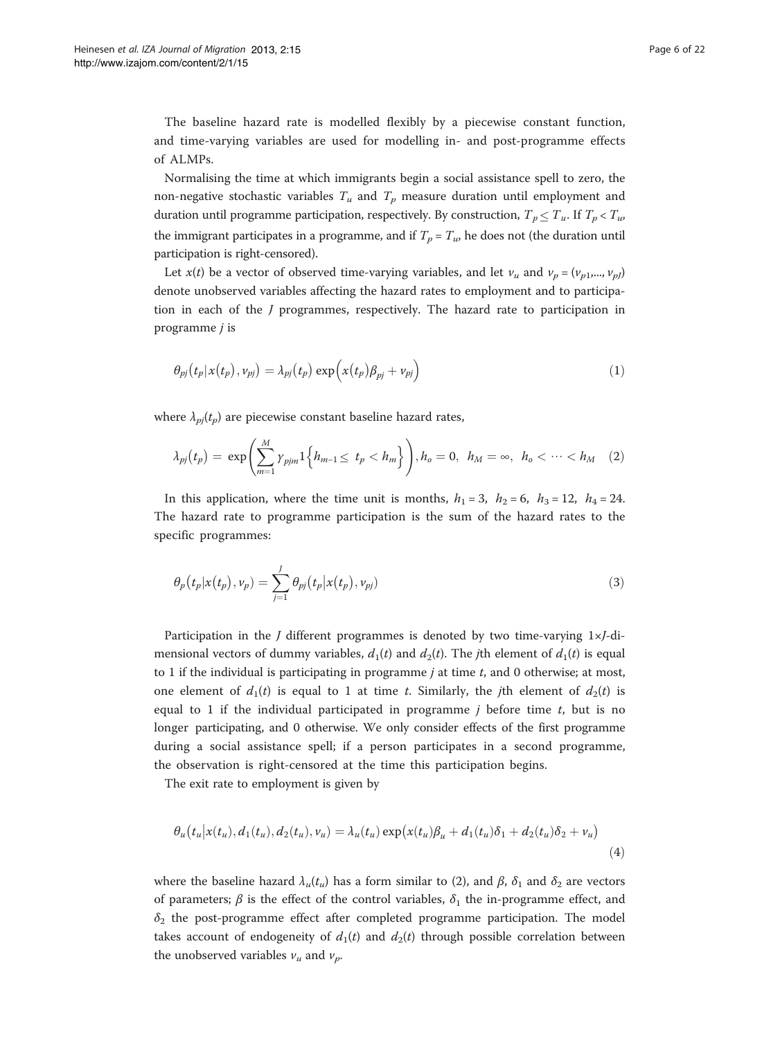The baseline hazard rate is modelled flexibly by a piecewise constant function, and time-varying variables are used for modelling in- and post-programme effects of ALMPs.

Normalising the time at which immigrants begin a social assistance spell to zero, the non-negative stochastic variables  $T_u$  and  $T_p$  measure duration until employment and duration until programme participation, respectively. By construction,  $T_p \leq T_u$ . If  $T_p < T_u$ , the immigrant participates in a programme, and if  $T_p = T_w$  he does not (the duration until participation is right-censored).

Let  $x(t)$  be a vector of observed time-varying variables, and let  $v_u$  and  $v_p = (v_{p1},..., v_{pJ})$ denote unobserved variables affecting the hazard rates to employment and to participation in each of the J programmes, respectively. The hazard rate to participation in programme j is

$$
\theta_{pj}(t_p|x(t_p), v_{pj}) = \lambda_{pj}(t_p) \exp\left(x(t_p)\beta_{pj} + v_{pj}\right)
$$
\n(1)

where  $\lambda_{pj}(t_p)$  are piecewise constant baseline hazard rates,

$$
\lambda_{pj}(t_p) = \exp\left(\sum_{m=1}^M \gamma_{pjm} 1\Big\{h_{m-1} \le t_p < h_m\Big\}\right), h_o = 0, \ \ h_M = \infty, \ \ h_o < \cdots < h_M \tag{2}
$$

In this application, where the time unit is months,  $h_1 = 3$ ,  $h_2 = 6$ ,  $h_3 = 12$ ,  $h_4 = 24$ . The hazard rate to programme participation is the sum of the hazard rates to the specific programmes:

$$
\theta_p(t_p|x(t_p), v_p) = \sum_{j=1}^J \theta_{pj}(t_p|x(t_p), v_{pj})
$$
\n(3)

Participation in the *J* different programmes is denoted by two time-varying  $1 \times J$ -dimensional vectors of dummy variables,  $d_1(t)$  and  $d_2(t)$ . The *j*th element of  $d_1(t)$  is equal to 1 if the individual is participating in programme  $j$  at time  $t$ , and 0 otherwise; at most, one element of  $d_1(t)$  is equal to 1 at time t. Similarly, the jth element of  $d_2(t)$  is equal to 1 if the individual participated in programme  $j$  before time  $t$ , but is no longer participating, and 0 otherwise. We only consider effects of the first programme during a social assistance spell; if a person participates in a second programme, the observation is right-censored at the time this participation begins.

The exit rate to employment is given by

$$
\theta_u(t_u|x(t_u), d_1(t_u), d_2(t_u), \nu_u) = \lambda_u(t_u) \exp(x(t_u)\beta_u + d_1(t_u)\delta_1 + d_2(t_u)\delta_2 + \nu_u)
$$
\n(4)

where the baseline hazard  $\lambda_u(t_u)$  has a form similar to (2), and  $\beta$ ,  $\delta_1$  and  $\delta_2$  are vectors of parameters;  $\beta$  is the effect of the control variables,  $\delta_1$  the in-programme effect, and  $\delta_2$  the post-programme effect after completed programme participation. The model takes account of endogeneity of  $d_1(t)$  and  $d_2(t)$  through possible correlation between the unobserved variables  $v_u$  and  $v_p$ .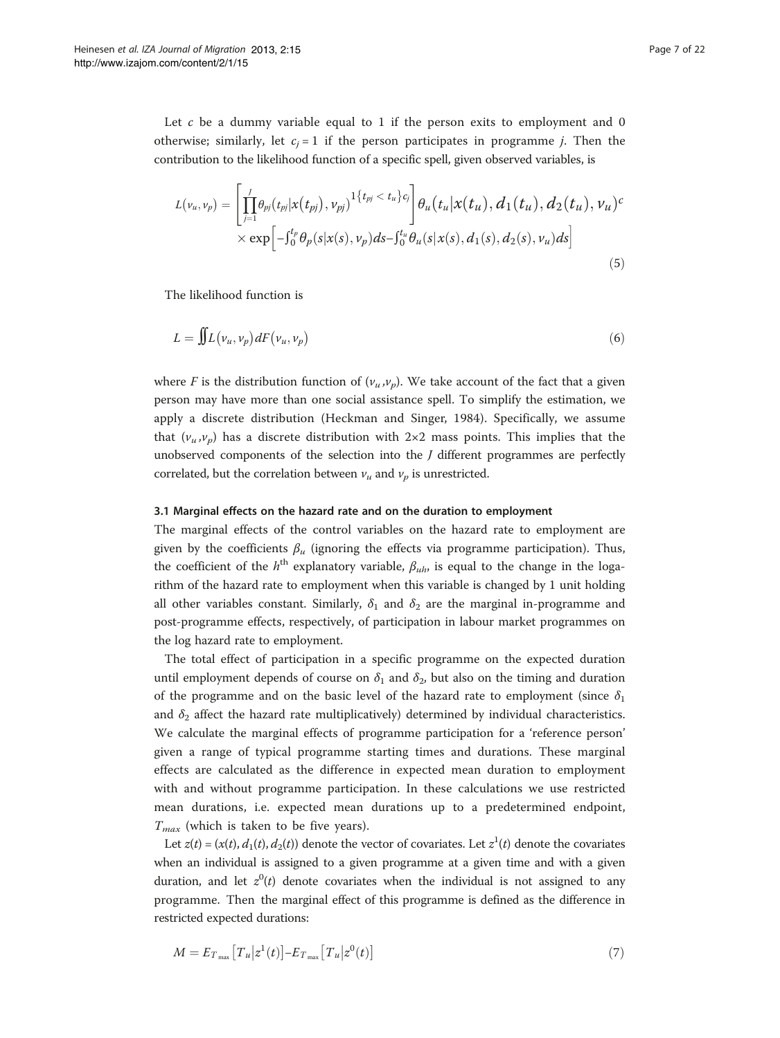Let  $c$  be a dummy variable equal to 1 if the person exits to employment and 0 otherwise; similarly, let  $c_i = 1$  if the person participates in programme *j*. Then the contribution to the likelihood function of a specific spell, given observed variables, is

$$
L(v_u, v_p) = \left[ \prod_{j=1}^J \theta_{pj}(t_{pj}|x(t_{pj}), v_{pj})^{1\{t_{pj} < t_u\}c_j} \right] \theta_u(t_u|x(t_u), d_1(t_u), d_2(t_u), v_u)^c \\ \times \exp\left[ -\int_0^{t_p} \theta_p(s|x(s), v_p)ds - \int_0^{t_u} \theta_u(s|x(s), d_1(s), d_2(s), v_u)ds \right] \tag{5}
$$

The likelihood function is

$$
L = \iint L(v_u, v_p) dF(v_u, v_p) \tag{6}
$$

where F is the distribution function of  $(v_u, v_p)$ . We take account of the fact that a given person may have more than one social assistance spell. To simplify the estimation, we apply a discrete distribution (Heckman and Singer, [1984\)](#page-21-0). Specifically, we assume that  $(v_{\mu},v_{\nu})$  has a discrete distribution with 2×2 mass points. This implies that the unobserved components of the selection into the J different programmes are perfectly correlated, but the correlation between  $v_u$  and  $v_p$  is unrestricted.

#### 3.1 Marginal effects on the hazard rate and on the duration to employment

The marginal effects of the control variables on the hazard rate to employment are given by the coefficients  $\beta_{\mu}$  (ignoring the effects via programme participation). Thus, the coefficient of the  $h<sup>th</sup>$  explanatory variable,  $\beta_{uh}$ , is equal to the change in the logarithm of the hazard rate to employment when this variable is changed by 1 unit holding all other variables constant. Similarly,  $\delta_1$  and  $\delta_2$  are the marginal in-programme and post-programme effects, respectively, of participation in labour market programmes on the log hazard rate to employment.

The total effect of participation in a specific programme on the expected duration until employment depends of course on  $\delta_1$  and  $\delta_2$ , but also on the timing and duration of the programme and on the basic level of the hazard rate to employment (since  $\delta_1$ and  $\delta_2$  affect the hazard rate multiplicatively) determined by individual characteristics. We calculate the marginal effects of programme participation for a 'reference person' given a range of typical programme starting times and durations. These marginal effects are calculated as the difference in expected mean duration to employment with and without programme participation. In these calculations we use restricted mean durations, i.e. expected mean durations up to a predetermined endpoint,  $T_{max}$  (which is taken to be five years).

Let  $z(t) = (x(t), d_1(t), d_2(t))$  denote the vector of covariates. Let  $z^1(t)$  denote the covariates when an individual is assigned to a given programme at a given time and with a given duration, and let  $z^0(t)$  denote covariates when the individual is not assigned to any programme. Then the marginal effect of this programme is defined as the difference in restricted expected durations:

$$
M = E_{T_{\text{max}}} \left[ T_u \middle| z^1(t) \right] - E_{T_{\text{max}}} \left[ T_u \middle| z^0(t) \right] \tag{7}
$$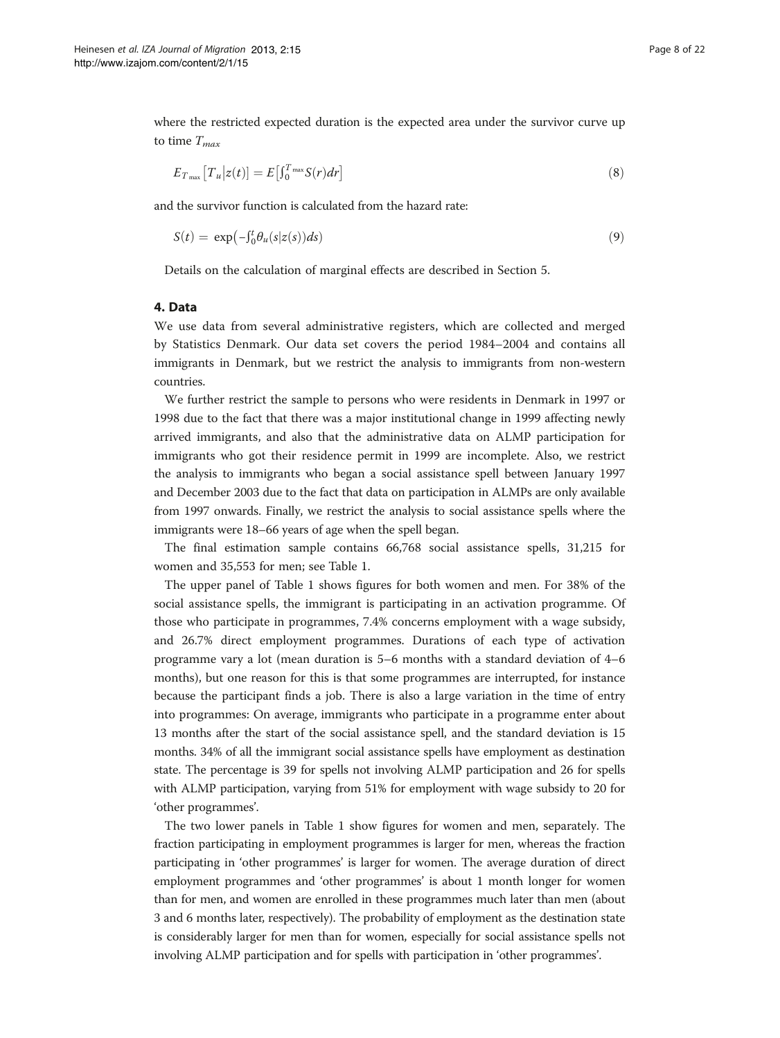<span id="page-7-0"></span>where the restricted expected duration is the expected area under the survivor curve up to time  $T_{max}$ 

$$
E_{T_{\text{max}}}\big[T_u\big|z(t)\big] = E\big[\int_0^{T_{\text{max}}} S(r)dr\big] \tag{8}
$$

and the survivor function is calculated from the hazard rate:

$$
S(t) = \exp(-\int_0^t \theta_u(s|z(s))ds) \tag{9}
$$

Details on the calculation of marginal effects are described in Section [5](#page-9-0).

#### 4. Data

We use data from several administrative registers, which are collected and merged by Statistics Denmark. Our data set covers the period 1984–2004 and contains all immigrants in Denmark, but we restrict the analysis to immigrants from non-western countries.

We further restrict the sample to persons who were residents in Denmark in 1997 or 1998 due to the fact that there was a major institutional change in 1999 affecting newly arrived immigrants, and also that the administrative data on ALMP participation for immigrants who got their residence permit in 1999 are incomplete. Also, we restrict the analysis to immigrants who began a social assistance spell between January 1997 and December 2003 due to the fact that data on participation in ALMPs are only available from 1997 onwards. Finally, we restrict the analysis to social assistance spells where the immigrants were 18–66 years of age when the spell began.

The final estimation sample contains 66,768 social assistance spells, 31,215 for women and 35,553 for men; see Table [1.](#page-4-0)

The upper panel of Table [1](#page-4-0) shows figures for both women and men. For 38% of the social assistance spells, the immigrant is participating in an activation programme. Of those who participate in programmes, 7.4% concerns employment with a wage subsidy, and 26.7% direct employment programmes. Durations of each type of activation programme vary a lot (mean duration is 5–6 months with a standard deviation of 4–6 months), but one reason for this is that some programmes are interrupted, for instance because the participant finds a job. There is also a large variation in the time of entry into programmes: On average, immigrants who participate in a programme enter about 13 months after the start of the social assistance spell, and the standard deviation is 15 months. 34% of all the immigrant social assistance spells have employment as destination state. The percentage is 39 for spells not involving ALMP participation and 26 for spells with ALMP participation, varying from 51% for employment with wage subsidy to 20 for 'other programmes'.

The two lower panels in Table [1](#page-4-0) show figures for women and men, separately. The fraction participating in employment programmes is larger for men, whereas the fraction participating in 'other programmes' is larger for women. The average duration of direct employment programmes and 'other programmes' is about 1 month longer for women than for men, and women are enrolled in these programmes much later than men (about 3 and 6 months later, respectively). The probability of employment as the destination state is considerably larger for men than for women, especially for social assistance spells not involving ALMP participation and for spells with participation in 'other programmes'.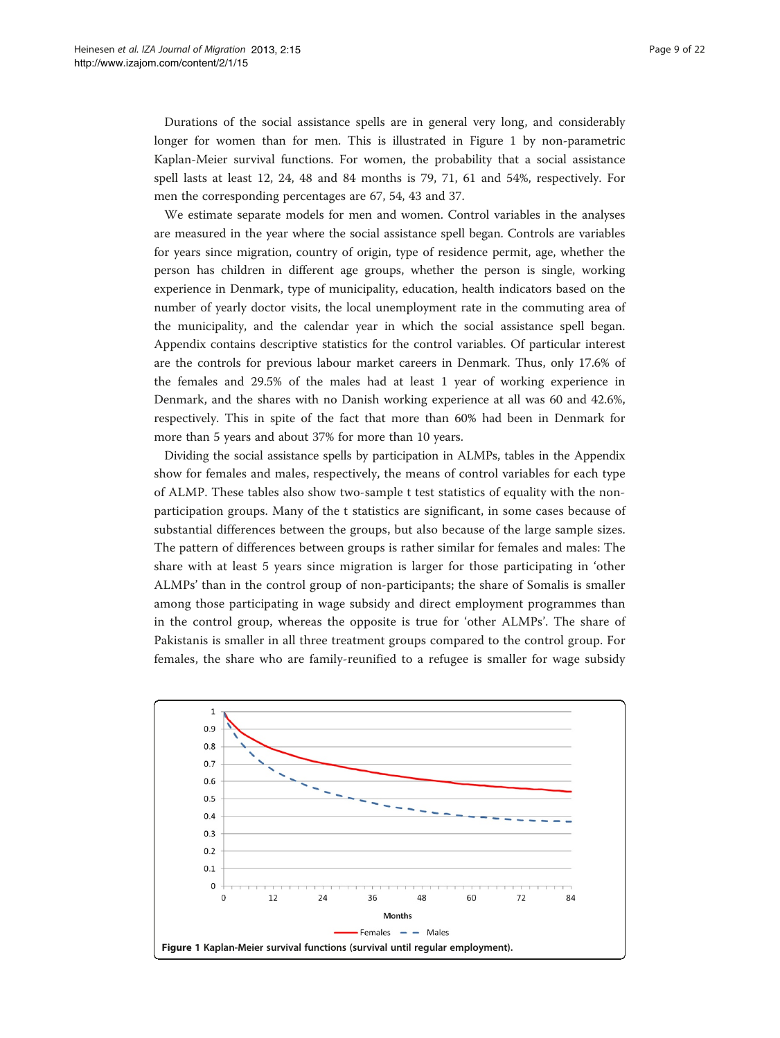<span id="page-8-0"></span>Durations of the social assistance spells are in general very long, and considerably longer for women than for men. This is illustrated in Figure 1 by non-parametric Kaplan-Meier survival functions. For women, the probability that a social assistance spell lasts at least 12, 24, 48 and 84 months is 79, 71, 61 and 54%, respectively. For men the corresponding percentages are 67, 54, 43 and 37.

We estimate separate models for men and women. Control variables in the analyses are measured in the year where the social assistance spell began. Controls are variables for years since migration, country of origin, type of residence permit, age, whether the person has children in different age groups, whether the person is single, working experience in Denmark, type of municipality, education, health indicators based on the number of yearly doctor visits, the local unemployment rate in the commuting area of the municipality, and the calendar year in which the social assistance spell began. [Appendix](#page-15-0) contains descriptive statistics for the control variables. Of particular interest are the controls for previous labour market careers in Denmark. Thus, only 17.6% of the females and 29.5% of the males had at least 1 year of working experience in Denmark, and the shares with no Danish working experience at all was 60 and 42.6%, respectively. This in spite of the fact that more than 60% had been in Denmark for more than 5 years and about 37% for more than 10 years.

Dividing the social assistance spells by participation in ALMPs, tables in the [Appendix](#page-15-0) show for females and males, respectively, the means of control variables for each type of ALMP. These tables also show two-sample t test statistics of equality with the nonparticipation groups. Many of the t statistics are significant, in some cases because of substantial differences between the groups, but also because of the large sample sizes. The pattern of differences between groups is rather similar for females and males: The share with at least 5 years since migration is larger for those participating in 'other ALMPs' than in the control group of non-participants; the share of Somalis is smaller among those participating in wage subsidy and direct employment programmes than in the control group, whereas the opposite is true for 'other ALMPs'. The share of Pakistanis is smaller in all three treatment groups compared to the control group. For females, the share who are family-reunified to a refugee is smaller for wage subsidy

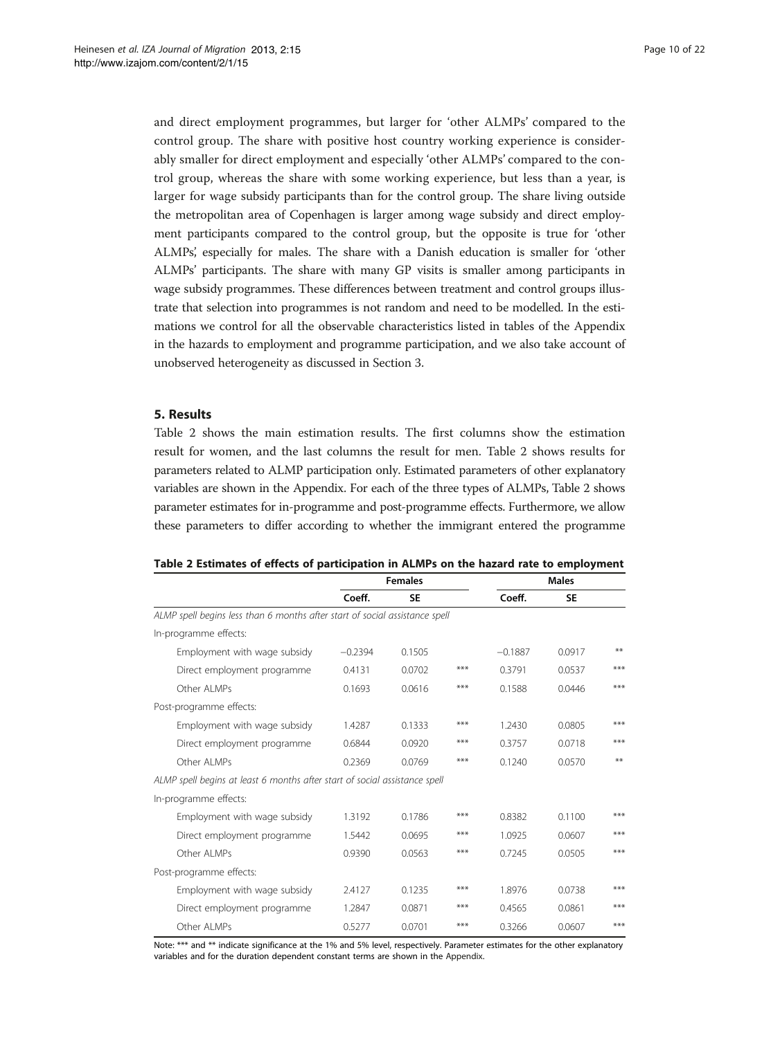<span id="page-9-0"></span>and direct employment programmes, but larger for 'other ALMPs' compared to the control group. The share with positive host country working experience is considerably smaller for direct employment and especially 'other ALMPs' compared to the control group, whereas the share with some working experience, but less than a year, is larger for wage subsidy participants than for the control group. The share living outside the metropolitan area of Copenhagen is larger among wage subsidy and direct employment participants compared to the control group, but the opposite is true for 'other ALMPs', especially for males. The share with a Danish education is smaller for 'other ALMPs' participants. The share with many GP visits is smaller among participants in wage subsidy programmes. These differences between treatment and control groups illustrate that selection into programmes is not random and need to be modelled. In the estimations we control for all the observable characteristics listed in tables of the [Appendix](#page-15-0) in the hazards to employment and programme participation, and we also take account of unobserved heterogeneity as discussed in Section [3.](#page-3-0)

## 5. Results

Table 2 shows the main estimation results. The first columns show the estimation result for women, and the last columns the result for men. Table 2 shows results for parameters related to ALMP participation only. Estimated parameters of other explanatory variables are shown in the [Appendix](#page-15-0). For each of the three types of ALMPs, Table 2 shows parameter estimates for in-programme and post-programme effects. Furthermore, we allow these parameters to differ according to whether the immigrant entered the programme

| Table 2 Estimates of effects of participation in ALMPs on the hazard rate to employment |  |
|-----------------------------------------------------------------------------------------|--|
|-----------------------------------------------------------------------------------------|--|

|                                                                             | <b>Females</b> |           |     | <b>Males</b> |           |     |  |
|-----------------------------------------------------------------------------|----------------|-----------|-----|--------------|-----------|-----|--|
|                                                                             | Coeff.         | <b>SE</b> |     | Coeff.       | <b>SE</b> |     |  |
| ALMP spell begins less than 6 months after start of social assistance spell |                |           |     |              |           |     |  |
| In-programme effects:                                                       |                |           |     |              |           |     |  |
| Employment with wage subsidy                                                | $-0.2394$      | 0.1505    |     | $-0.1887$    | 0.0917    | **  |  |
| Direct employment programme                                                 | 0.4131         | 0.0702    | *** | 0.3791       | 0.0537    | *** |  |
| Other AI MPs                                                                | 0.1693         | 0.0616    | *** | 0.1588       | 0.0446    | *** |  |
| Post-programme effects:                                                     |                |           |     |              |           |     |  |
| Employment with wage subsidy                                                | 1.4287         | 0.1333    | *** | 1.2430       | 0.0805    | *** |  |
| Direct employment programme                                                 | 0.6844         | 0.0920    | *** | 0.3757       | 0.0718    | *** |  |
| Other AI MPs                                                                | 0.2369         | 0.0769    | *** | 0.1240       | 0.0570    | **  |  |
| ALMP spell begins at least 6 months after start of social assistance spell  |                |           |     |              |           |     |  |
| In-programme effects:                                                       |                |           |     |              |           |     |  |
| Employment with wage subsidy                                                | 1.3192         | 0.1786    | *** | 0.8382       | 0.1100    | *** |  |
| Direct employment programme                                                 | 1.5442         | 0.0695    | *** | 1.0925       | 0.0607    | *** |  |
| Other AI MPs                                                                | 0.9390         | 0.0563    | *** | 0.7245       | 0.0505    | *** |  |
| Post-programme effects:                                                     |                |           |     |              |           |     |  |
| Employment with wage subsidy                                                | 2.4127         | 0.1235    | *** | 1.8976       | 0.0738    | *** |  |
| Direct employment programme                                                 | 1.2847         | 0.0871    | *** | 0.4565       | 0.0861    | *** |  |
| Other AI MPs                                                                | 0.5277         | 0.0701    | *** | 0.3266       | 0.0607    | *** |  |

Note: \*\*\* and \*\* indicate significance at the 1% and 5% level, respectively. Parameter estimates for the other explanatory variables and for the duration dependent constant terms are shown in the [Appendix.](#page-15-0)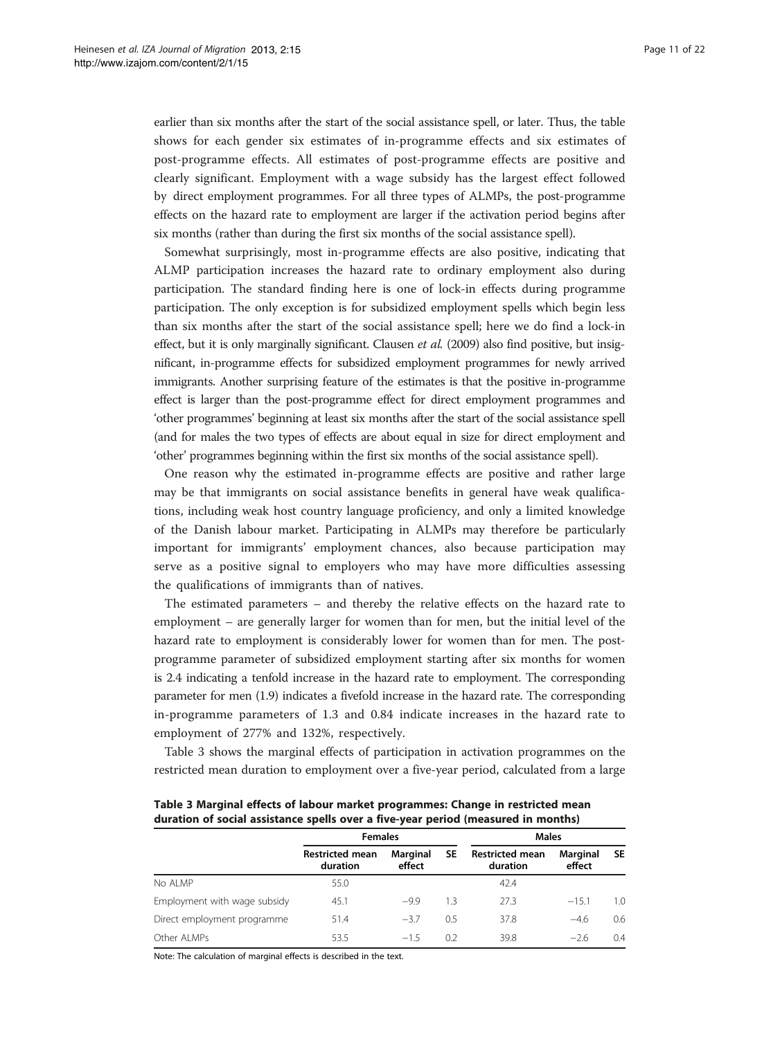<span id="page-10-0"></span>earlier than six months after the start of the social assistance spell, or later. Thus, the table shows for each gender six estimates of in-programme effects and six estimates of post-programme effects. All estimates of post-programme effects are positive and clearly significant. Employment with a wage subsidy has the largest effect followed by direct employment programmes. For all three types of ALMPs, the post-programme effects on the hazard rate to employment are larger if the activation period begins after six months (rather than during the first six months of the social assistance spell).

Somewhat surprisingly, most in-programme effects are also positive, indicating that ALMP participation increases the hazard rate to ordinary employment also during participation. The standard finding here is one of lock-in effects during programme participation. The only exception is for subsidized employment spells which begin less than six months after the start of the social assistance spell; here we do find a lock-in effect, but it is only marginally significant. Clausen et al. [\(2009](#page-21-0)) also find positive, but insignificant, in-programme effects for subsidized employment programmes for newly arrived immigrants. Another surprising feature of the estimates is that the positive in-programme effect is larger than the post-programme effect for direct employment programmes and 'other programmes' beginning at least six months after the start of the social assistance spell (and for males the two types of effects are about equal in size for direct employment and 'other' programmes beginning within the first six months of the social assistance spell).

One reason why the estimated in-programme effects are positive and rather large may be that immigrants on social assistance benefits in general have weak qualifications, including weak host country language proficiency, and only a limited knowledge of the Danish labour market. Participating in ALMPs may therefore be particularly important for immigrants' employment chances, also because participation may serve as a positive signal to employers who may have more difficulties assessing the qualifications of immigrants than of natives.

The estimated parameters – and thereby the relative effects on the hazard rate to employment – are generally larger for women than for men, but the initial level of the hazard rate to employment is considerably lower for women than for men. The postprogramme parameter of subsidized employment starting after six months for women is 2.4 indicating a tenfold increase in the hazard rate to employment. The corresponding parameter for men (1.9) indicates a fivefold increase in the hazard rate. The corresponding in-programme parameters of 1.3 and 0.84 indicate increases in the hazard rate to employment of 277% and 132%, respectively.

Table 3 shows the marginal effects of participation in activation programmes on the restricted mean duration to employment over a five-year period, calculated from a large

Table 3 Marginal effects of labour market programmes: Change in restricted mean duration of social assistance spells over a five-year period (measured in months)

|                              | <b>Females</b>                     |                    |     | <b>Males</b>                       |                           |           |  |  |
|------------------------------|------------------------------------|--------------------|-----|------------------------------------|---------------------------|-----------|--|--|
|                              | <b>Restricted mean</b><br>duration | Marginal<br>effect | SE  | <b>Restricted mean</b><br>duration | <b>Marginal</b><br>effect | <b>SE</b> |  |  |
| No AI MP                     | 55.0                               |                    |     | 42.4                               |                           |           |  |  |
| Employment with wage subsidy | 45.1                               | $-9.9$             | 1.3 | 27.3                               | $-15.1$                   | 1.0       |  |  |
| Direct employment programme  | 51.4                               | $-3.7$             | 0.5 | 37.8                               | $-4.6$                    | 0.6       |  |  |
| Other AI MPs                 | 53.5                               | $-1.5$             | 0.2 | 39.8                               | $-2.6$                    | 0.4       |  |  |

Note: The calculation of marginal effects is described in the text.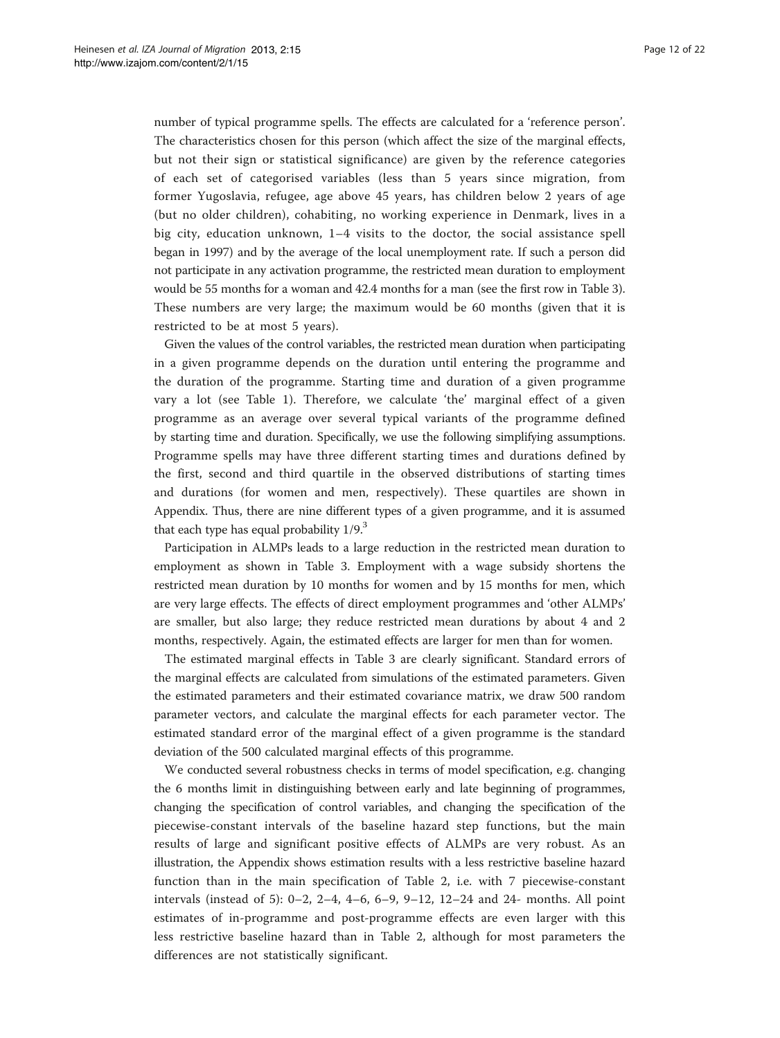number of typical programme spells. The effects are calculated for a 'reference person'. The characteristics chosen for this person (which affect the size of the marginal effects, but not their sign or statistical significance) are given by the reference categories of each set of categorised variables (less than 5 years since migration, from former Yugoslavia, refugee, age above 45 years, has children below 2 years of age (but no older children), cohabiting, no working experience in Denmark, lives in a big city, education unknown, 1–4 visits to the doctor, the social assistance spell began in 1997) and by the average of the local unemployment rate. If such a person did not participate in any activation programme, the restricted mean duration to employment would be 55 months for a woman and 42.4 months for a man (see the first row in Table [3](#page-10-0)). These numbers are very large; the maximum would be 60 months (given that it is restricted to be at most 5 years).

Given the values of the control variables, the restricted mean duration when participating in a given programme depends on the duration until entering the programme and the duration of the programme. Starting time and duration of a given programme vary a lot (see Table [1\)](#page-4-0). Therefore, we calculate 'the' marginal effect of a given programme as an average over several typical variants of the programme defined by starting time and duration. Specifically, we use the following simplifying assumptions. Programme spells may have three different starting times and durations defined by the first, second and third quartile in the observed distributions of starting times and durations (for women and men, respectively). These quartiles are shown in [Appendix.](#page-15-0) Thus, there are nine different types of a given programme, and it is assumed that each type has equal probability  $1/9$ .<sup>3</sup>

Participation in ALMPs leads to a large reduction in the restricted mean duration to employment as shown in Table [3](#page-10-0). Employment with a wage subsidy shortens the restricted mean duration by 10 months for women and by 15 months for men, which are very large effects. The effects of direct employment programmes and 'other ALMPs' are smaller, but also large; they reduce restricted mean durations by about 4 and 2 months, respectively. Again, the estimated effects are larger for men than for women.

The estimated marginal effects in Table [3](#page-10-0) are clearly significant. Standard errors of the marginal effects are calculated from simulations of the estimated parameters. Given the estimated parameters and their estimated covariance matrix, we draw 500 random parameter vectors, and calculate the marginal effects for each parameter vector. The estimated standard error of the marginal effect of a given programme is the standard deviation of the 500 calculated marginal effects of this programme.

We conducted several robustness checks in terms of model specification, e.g. changing the 6 months limit in distinguishing between early and late beginning of programmes, changing the specification of control variables, and changing the specification of the piecewise-constant intervals of the baseline hazard step functions, but the main results of large and significant positive effects of ALMPs are very robust. As an illustration, the [Appendix](#page-15-0) shows estimation results with a less restrictive baseline hazard function than in the main specification of Table [2,](#page-9-0) i.e. with 7 piecewise-constant intervals (instead of 5): 0–2, 2–4, 4–6, 6–9, 9–12, 12–24 and 24- months. All point estimates of in-programme and post-programme effects are even larger with this less restrictive baseline hazard than in Table [2](#page-9-0), although for most parameters the differences are not statistically significant.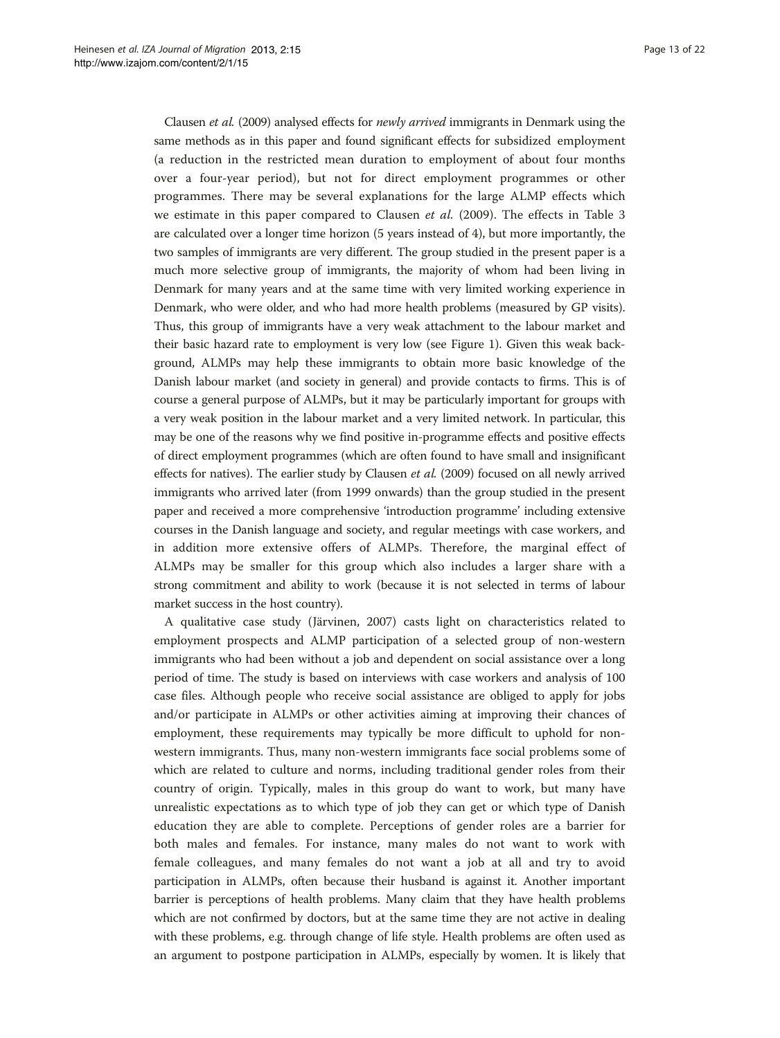Clausen et al. [\(2009\)](#page-21-0) analysed effects for newly arrived immigrants in Denmark using the same methods as in this paper and found significant effects for subsidized employment (a reduction in the restricted mean duration to employment of about four months over a four-year period), but not for direct employment programmes or other programmes. There may be several explanations for the large ALMP effects which we estimate in this paper compared to Clausen et al. ([2009\)](#page-21-0). The effects in Table [3](#page-10-0) are calculated over a longer time horizon (5 years instead of 4), but more importantly, the two samples of immigrants are very different. The group studied in the present paper is a much more selective group of immigrants, the majority of whom had been living in Denmark for many years and at the same time with very limited working experience in Denmark, who were older, and who had more health problems (measured by GP visits). Thus, this group of immigrants have a very weak attachment to the labour market and their basic hazard rate to employment is very low (see Figure [1](#page-8-0)). Given this weak background, ALMPs may help these immigrants to obtain more basic knowledge of the Danish labour market (and society in general) and provide contacts to firms. This is of course a general purpose of ALMPs, but it may be particularly important for groups with a very weak position in the labour market and a very limited network. In particular, this may be one of the reasons why we find positive in-programme effects and positive effects of direct employment programmes (which are often found to have small and insignificant effects for natives). The earlier study by Clausen et al. ([2009](#page-21-0)) focused on all newly arrived immigrants who arrived later (from 1999 onwards) than the group studied in the present paper and received a more comprehensive 'introduction programme' including extensive courses in the Danish language and society, and regular meetings with case workers, and in addition more extensive offers of ALMPs. Therefore, the marginal effect of ALMPs may be smaller for this group which also includes a larger share with a strong commitment and ability to work (because it is not selected in terms of labour market success in the host country).

A qualitative case study (Järvinen, [2007\)](#page-21-0) casts light on characteristics related to employment prospects and ALMP participation of a selected group of non-western immigrants who had been without a job and dependent on social assistance over a long period of time. The study is based on interviews with case workers and analysis of 100 case files. Although people who receive social assistance are obliged to apply for jobs and/or participate in ALMPs or other activities aiming at improving their chances of employment, these requirements may typically be more difficult to uphold for nonwestern immigrants. Thus, many non-western immigrants face social problems some of which are related to culture and norms, including traditional gender roles from their country of origin. Typically, males in this group do want to work, but many have unrealistic expectations as to which type of job they can get or which type of Danish education they are able to complete. Perceptions of gender roles are a barrier for both males and females. For instance, many males do not want to work with female colleagues, and many females do not want a job at all and try to avoid participation in ALMPs, often because their husband is against it. Another important barrier is perceptions of health problems. Many claim that they have health problems which are not confirmed by doctors, but at the same time they are not active in dealing with these problems, e.g. through change of life style. Health problems are often used as an argument to postpone participation in ALMPs, especially by women. It is likely that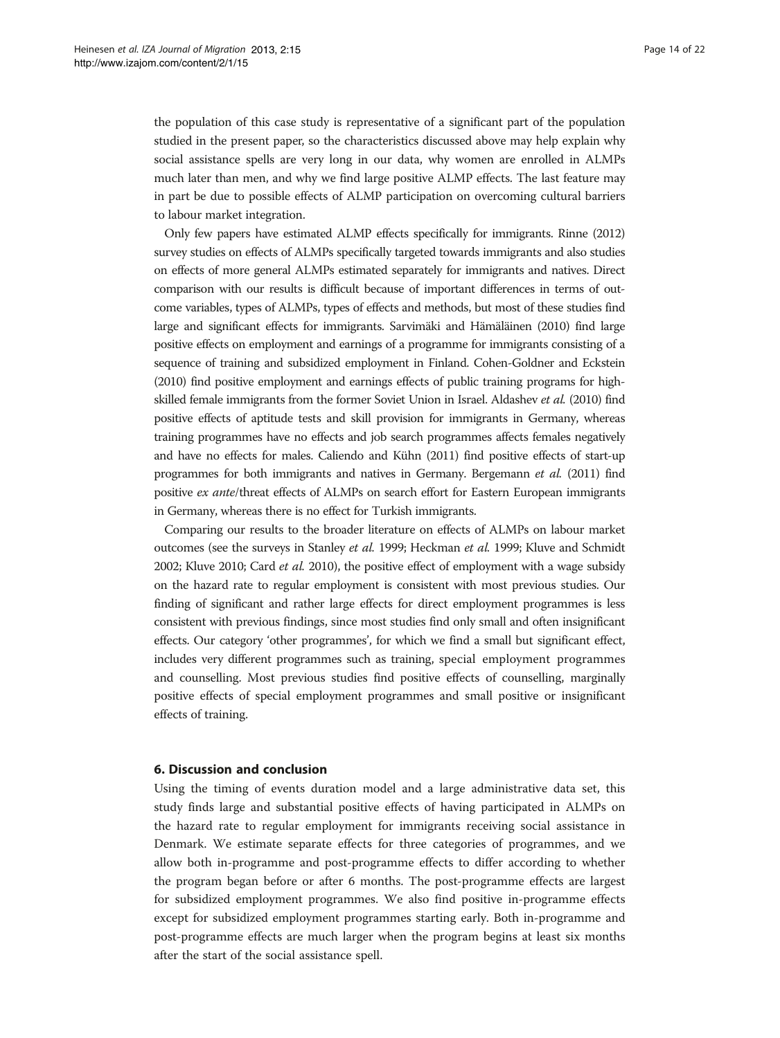<span id="page-13-0"></span>the population of this case study is representative of a significant part of the population studied in the present paper, so the characteristics discussed above may help explain why social assistance spells are very long in our data, why women are enrolled in ALMPs much later than men, and why we find large positive ALMP effects. The last feature may in part be due to possible effects of ALMP participation on overcoming cultural barriers to labour market integration.

Only few papers have estimated ALMP effects specifically for immigrants. Rinne ([2012](#page-21-0)) survey studies on effects of ALMPs specifically targeted towards immigrants and also studies on effects of more general ALMPs estimated separately for immigrants and natives. Direct comparison with our results is difficult because of important differences in terms of outcome variables, types of ALMPs, types of effects and methods, but most of these studies find large and significant effects for immigrants. Sarvimäki and Hämäläinen [\(2010](#page-21-0)) find large positive effects on employment and earnings of a programme for immigrants consisting of a sequence of training and subsidized employment in Finland. Cohen-Goldner and Eckstein ([2010](#page-21-0)) find positive employment and earnings effects of public training programs for highskilled female immigrants from the former Soviet Union in Israel. Aldashev et al. [\(2010\)](#page-21-0) find positive effects of aptitude tests and skill provision for immigrants in Germany, whereas training programmes have no effects and job search programmes affects females negatively and have no effects for males. Caliendo and Kühn ([2011](#page-21-0)) find positive effects of start-up programmes for both immigrants and natives in Germany. Bergemann et al. [\(2011](#page-21-0)) find positive ex ante/threat effects of ALMPs on search effort for Eastern European immigrants in Germany, whereas there is no effect for Turkish immigrants.

Comparing our results to the broader literature on effects of ALMPs on labour market outcomes (see the surveys in Stanley et al. [1999](#page-21-0); Heckman et al. [1999](#page-21-0); Kluve and Schmidt [2002;](#page-21-0) Kluve [2010](#page-21-0); Card et al. [2010\)](#page-21-0), the positive effect of employment with a wage subsidy on the hazard rate to regular employment is consistent with most previous studies. Our finding of significant and rather large effects for direct employment programmes is less consistent with previous findings, since most studies find only small and often insignificant effects. Our category 'other programmes', for which we find a small but significant effect, includes very different programmes such as training, special employment programmes and counselling. Most previous studies find positive effects of counselling, marginally positive effects of special employment programmes and small positive or insignificant effects of training.

#### 6. Discussion and conclusion

Using the timing of events duration model and a large administrative data set, this study finds large and substantial positive effects of having participated in ALMPs on the hazard rate to regular employment for immigrants receiving social assistance in Denmark. We estimate separate effects for three categories of programmes, and we allow both in-programme and post-programme effects to differ according to whether the program began before or after 6 months. The post-programme effects are largest for subsidized employment programmes. We also find positive in-programme effects except for subsidized employment programmes starting early. Both in-programme and post-programme effects are much larger when the program begins at least six months after the start of the social assistance spell.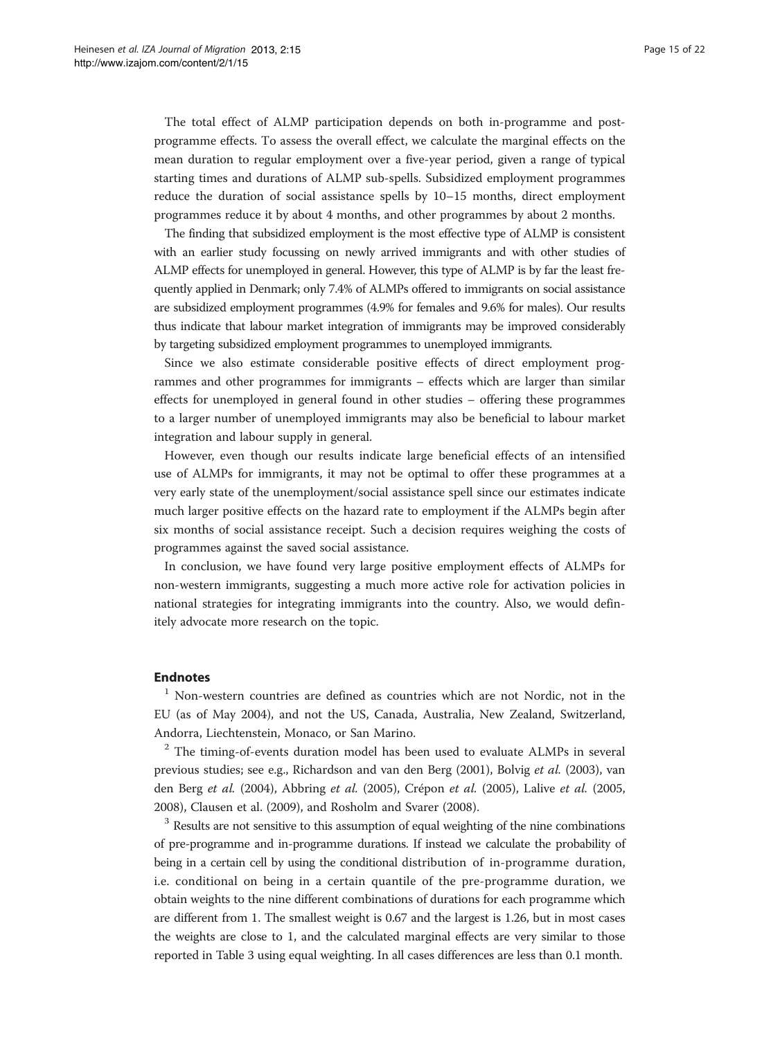The total effect of ALMP participation depends on both in-programme and postprogramme effects. To assess the overall effect, we calculate the marginal effects on the mean duration to regular employment over a five-year period, given a range of typical starting times and durations of ALMP sub-spells. Subsidized employment programmes reduce the duration of social assistance spells by 10–15 months, direct employment programmes reduce it by about 4 months, and other programmes by about 2 months.

The finding that subsidized employment is the most effective type of ALMP is consistent with an earlier study focussing on newly arrived immigrants and with other studies of ALMP effects for unemployed in general. However, this type of ALMP is by far the least frequently applied in Denmark; only 7.4% of ALMPs offered to immigrants on social assistance are subsidized employment programmes (4.9% for females and 9.6% for males). Our results thus indicate that labour market integration of immigrants may be improved considerably by targeting subsidized employment programmes to unemployed immigrants.

Since we also estimate considerable positive effects of direct employment programmes and other programmes for immigrants – effects which are larger than similar effects for unemployed in general found in other studies – offering these programmes to a larger number of unemployed immigrants may also be beneficial to labour market integration and labour supply in general.

However, even though our results indicate large beneficial effects of an intensified use of ALMPs for immigrants, it may not be optimal to offer these programmes at a very early state of the unemployment/social assistance spell since our estimates indicate much larger positive effects on the hazard rate to employment if the ALMPs begin after six months of social assistance receipt. Such a decision requires weighing the costs of programmes against the saved social assistance.

In conclusion, we have found very large positive employment effects of ALMPs for non-western immigrants, suggesting a much more active role for activation policies in national strategies for integrating immigrants into the country. Also, we would definitely advocate more research on the topic.

## Endnotes

 $1$  Non-western countries are defined as countries which are not Nordic, not in the EU (as of May 2004), and not the US, Canada, Australia, New Zealand, Switzerland, Andorra, Liechtenstein, Monaco, or San Marino.

<sup>2</sup> The timing-of-events duration model has been used to evaluate ALMPs in several previous studies; see e.g., Richardson and van den Berg ([2001](#page-21-0)), Bolvig et al. [\(2003\)](#page-21-0), van den Berg et al. ([2004](#page-21-0)), Abbring et al. ([2005](#page-21-0)), Crépon et al. [\(2005\)](#page-21-0), Lalive et al. ([2005](#page-21-0), [2008](#page-21-0)), Clausen et al. ([2009](#page-21-0)), and Rosholm and Svarer [\(2008\)](#page-21-0).

<sup>3</sup> Results are not sensitive to this assumption of equal weighting of the nine combinations of pre-programme and in-programme durations. If instead we calculate the probability of being in a certain cell by using the conditional distribution of in-programme duration, i.e. conditional on being in a certain quantile of the pre-programme duration, we obtain weights to the nine different combinations of durations for each programme which are different from 1. The smallest weight is 0.67 and the largest is 1.26, but in most cases the weights are close to 1, and the calculated marginal effects are very similar to those reported in Table [3](#page-10-0) using equal weighting. In all cases differences are less than 0.1 month.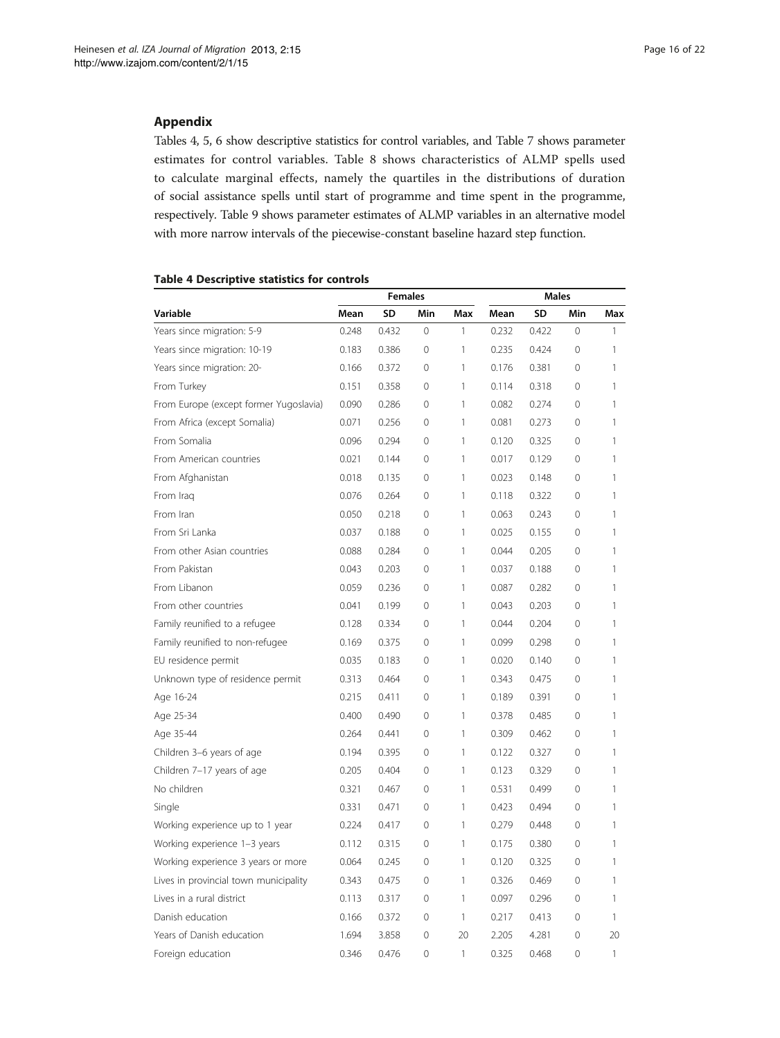## <span id="page-15-0"></span>Appendix

Tables 4, [5,](#page-16-0) [6](#page-17-0) show descriptive statistics for control variables, and Table [7](#page-18-0) shows parameter estimates for control variables. Table [8](#page-20-0) shows characteristics of ALMP spells used to calculate marginal effects, namely the quartiles in the distributions of duration of social assistance spells until start of programme and time spent in the programme, respectively. Table [9](#page-20-0) shows parameter estimates of ALMP variables in an alternative model with more narrow intervals of the piecewise-constant baseline hazard step function.

#### Table 4 Descriptive statistics for controls

|                                        |       | <b>Females</b> |             |              | <b>Males</b> |       |             |              |
|----------------------------------------|-------|----------------|-------------|--------------|--------------|-------|-------------|--------------|
| Variable                               | Mean  | SD             | Min         | Max          | Mean         | SD    | Min         | Max          |
| Years since migration: 5-9             | 0.248 | 0.432          | $\Omega$    | $\mathbf{1}$ | 0.232        | 0.422 | $\Omega$    | 1            |
| Years since migration: 10-19           | 0.183 | 0.386          | $\mathbf 0$ | 1            | 0.235        | 0.424 | $\mathbf 0$ | 1            |
| Years since migration: 20-             | 0.166 | 0.372          | $\mathbf 0$ | 1            | 0.176        | 0.381 | $\mathbf 0$ | 1            |
| From Turkey                            | 0.151 | 0.358          | 0           | 1            | 0.114        | 0.318 | 0           | 1            |
| From Europe (except former Yugoslavia) | 0.090 | 0.286          | $\Omega$    | $\mathbf{1}$ | 0.082        | 0.274 | $\Omega$    | 1            |
| From Africa (except Somalia)           | 0.071 | 0.256          | 0           | 1            | 0.081        | 0.273 | 0           | 1            |
| From Somalia                           | 0.096 | 0.294          | $\mathbf 0$ | $\mathbf{1}$ | 0.120        | 0.325 | $\mathbf 0$ | $\mathbf{1}$ |
| From American countries                | 0.021 | 0.144          | 0           | 1            | 0.017        | 0.129 | $\mathbf 0$ | 1            |
| From Afghanistan                       | 0.018 | 0.135          | 0           | 1            | 0.023        | 0.148 | 0           | $\mathbf{1}$ |
| From Iraq                              | 0.076 | 0.264          | 0           | 1            | 0.118        | 0.322 | $\Omega$    | 1            |
| From Iran                              | 0.050 | 0.218          | 0           | $\mathbf{1}$ | 0.063        | 0.243 | $\Omega$    | 1            |
| From Sri Lanka                         | 0.037 | 0.188          | 0           | 1            | 0.025        | 0.155 | 0           | 1            |
| From other Asian countries             | 0.088 | 0.284          | 0           | $\mathbf{1}$ | 0.044        | 0.205 | $\Omega$    | 1            |
| From Pakistan                          | 0.043 | 0.203          | 0           | 1            | 0.037        | 0.188 | 0           | 1            |
| From Libanon                           | 0.059 | 0.236          | $\Omega$    | 1            | 0.087        | 0.282 | $\Omega$    | 1            |
| From other countries                   | 0.041 | 0.199          | $\Omega$    | 1            | 0.043        | 0.203 | $\Omega$    | 1            |
| Family reunified to a refugee          | 0.128 | 0.334          | $\Omega$    | 1            | 0.044        | 0.204 | $\Omega$    | 1            |
| Family reunified to non-refugee        | 0.169 | 0.375          | 0           | 1            | 0.099        | 0.298 | 0           | 1            |
| EU residence permit                    | 0.035 | 0.183          | $\Omega$    | 1            | 0.020        | 0.140 | $\Omega$    | 1            |
| Unknown type of residence permit       | 0.313 | 0.464          | $\Omega$    | 1            | 0.343        | 0.475 | $\Omega$    | 1            |
| Age 16-24                              | 0.215 | 0.411          | $\Omega$    | 1            | 0.189        | 0.391 | $\Omega$    | 1            |
| Age 25-34                              | 0.400 | 0.490          | 0           | 1            | 0.378        | 0.485 | 0           | 1            |
| Age 35-44                              | 0.264 | 0.441          | 0           | $\mathbf{1}$ | 0.309        | 0.462 | 0           | 1            |
| Children 3-6 years of age              | 0.194 | 0.395          | $\Omega$    | 1            | 0.122        | 0.327 | $\Omega$    | 1            |
| Children 7-17 years of age             | 0.205 | 0.404          | $\Omega$    | $\mathbf{1}$ | 0.123        | 0.329 | $\Omega$    | 1            |
| No children                            | 0.321 | 0.467          | 0           | 1            | 0.531        | 0.499 | 0           | 1            |
| Single                                 | 0.331 | 0.471          | 0           | $\mathbf{1}$ | 0.423        | 0.494 | $\mathbf 0$ | 1            |
| Working experience up to 1 year        | 0.224 | 0.417          | 0           | 1            | 0.279        | 0.448 | 0           | 1            |
| Working experience 1-3 years           | 0.112 | 0.315          | 0           | 1            | 0.175        | 0.380 | $\Omega$    | 1            |
| Working experience 3 years or more     | 0.064 | 0.245          | $\Omega$    | 1            | 0.120        | 0.325 | $\Omega$    | 1            |
| Lives in provincial town municipality  | 0.343 | 0.475          | 0           | $\mathbf{1}$ | 0.326        | 0.469 | $\mathbf 0$ | 1            |
| Lives in a rural district              | 0.113 | 0.317          | $\Omega$    | 1            | 0.097        | 0.296 | $\Omega$    | 1            |
| Danish education                       | 0.166 | 0.372          | 0           | 1            | 0.217        | 0.413 | 0           | 1            |
| Years of Danish education              | 1.694 | 3.858          | $\Omega$    | 20           | 2.205        | 4.281 | $\Omega$    | 20           |
| Foreign education                      | 0.346 | 0.476          | $\Omega$    | $\mathbf{1}$ | 0.325        | 0.468 | $\Omega$    | 1            |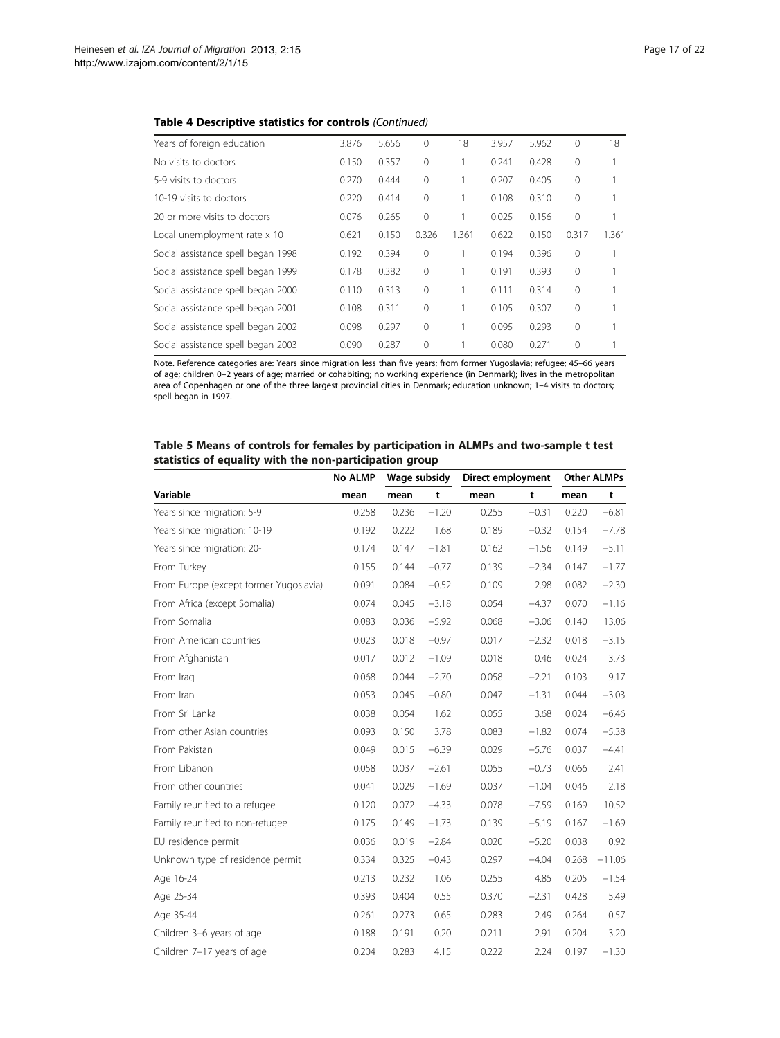<span id="page-16-0"></span>Table 4 Descriptive statistics for controls (Continued)

| Years of foreign education         | 3.876 | 5.656 | $\Omega$     | 18    | 3.957 | 5.962 | 0            | 18    |
|------------------------------------|-------|-------|--------------|-------|-------|-------|--------------|-------|
| No visits to doctors               | 0.150 | 0.357 | $\Omega$     |       | 0.241 | 0.428 | 0            |       |
| 5-9 visits to doctors              | 0.270 | 0.444 | $\Omega$     |       | 0.207 | 0.405 | 0            |       |
| 10-19 visits to doctors            | 0.220 | 0.414 | $\Omega$     |       | 0.108 | 0.310 | 0            |       |
| 20 or more visits to doctors       | 0.076 | 0.265 | $\Omega$     |       | 0.025 | 0.156 | $\mathbf{0}$ |       |
| Local unemployment rate x 10       | 0.621 | 0.150 | 0.326        | 1.361 | 0.622 | 0.150 | 0.317        | 1.361 |
| Social assistance spell began 1998 | 0.192 | 0.394 | $\mathbf{0}$ |       | 0.194 | 0.396 | $\mathbf{0}$ |       |
| Social assistance spell began 1999 | 0.178 | 0.382 | $\Omega$     |       | 0.191 | 0.393 | 0            |       |
| Social assistance spell began 2000 | 0.110 | 0.313 | $\Omega$     |       | 0.111 | 0.314 | $\Omega$     |       |
| Social assistance spell began 2001 | 0.108 | 0.311 | $\Omega$     |       | 0.105 | 0.307 | $\Omega$     |       |
| Social assistance spell began 2002 | 0.098 | 0.297 | $\Omega$     |       | 0.095 | 0.293 | 0            |       |
| Social assistance spell began 2003 | 0.090 | 0.287 | $\bigcap$    |       | 0.080 | 0.271 | 0            |       |

Note. Reference categories are: Years since migration less than five years; from former Yugoslavia; refugee; 45–66 years of age; children 0–2 years of age; married or cohabiting; no working experience (in Denmark); lives in the metropolitan area of Copenhagen or one of the three largest provincial cities in Denmark; education unknown; 1–4 visits to doctors; spell began in 1997.

Table 5 Means of controls for females by participation in ALMPs and two-sample t test statistics of equality with the non-participation group

|                                        | <b>No ALMP</b> | Wage subsidy |         | Direct employment |         | <b>Other ALMPs</b> |          |
|----------------------------------------|----------------|--------------|---------|-------------------|---------|--------------------|----------|
| Variable                               | mean           | mean         | t       | mean              | t       | mean               | t        |
| Years since migration: 5-9             | 0.258          | 0.236        | $-1.20$ | 0.255             | $-0.31$ | 0.220              | $-6.81$  |
| Years since migration: 10-19           | 0.192          | 0.222        | 1.68    | 0.189             | $-0.32$ | 0.154              | $-7.78$  |
| Years since migration: 20-             | 0.174          | 0.147        | $-1.81$ | 0.162             | $-1.56$ | 0.149              | $-5.11$  |
| From Turkey                            | 0.155          | 0.144        | $-0.77$ | 0.139             | $-2.34$ | 0.147              | $-1.77$  |
| From Europe (except former Yugoslavia) | 0.091          | 0.084        | $-0.52$ | 0.109             | 2.98    | 0.082              | $-2.30$  |
| From Africa (except Somalia)           | 0.074          | 0.045        | $-3.18$ | 0.054             | $-4.37$ | 0.070              | $-1.16$  |
| From Somalia                           | 0.083          | 0.036        | $-5.92$ | 0.068             | $-3.06$ | 0.140              | 13.06    |
| From American countries                | 0.023          | 0.018        | $-0.97$ | 0.017             | $-2.32$ | 0.018              | $-3.15$  |
| From Afghanistan                       | 0.017          | 0.012        | $-1.09$ | 0.018             | 0.46    | 0.024              | 3.73     |
| From Iraq                              | 0.068          | 0.044        | $-2.70$ | 0.058             | $-2.21$ | 0.103              | 9.17     |
| From Iran                              | 0.053          | 0.045        | $-0.80$ | 0.047             | $-1.31$ | 0.044              | $-3.03$  |
| From Sri Lanka                         | 0.038          | 0.054        | 1.62    | 0.055             | 3.68    | 0.024              | $-6.46$  |
| From other Asian countries             | 0.093          | 0.150        | 3.78    | 0.083             | $-1.82$ | 0.074              | $-5.38$  |
| From Pakistan                          | 0.049          | 0.015        | $-6.39$ | 0.029             | $-5.76$ | 0.037              | $-4.41$  |
| From Libanon                           | 0.058          | 0.037        | $-2.61$ | 0.055             | $-0.73$ | 0.066              | 2.41     |
| From other countries                   | 0.041          | 0.029        | $-1.69$ | 0.037             | $-1.04$ | 0.046              | 2.18     |
| Family reunified to a refugee          | 0.120          | 0.072        | $-4.33$ | 0.078             | $-7.59$ | 0.169              | 10.52    |
| Family reunified to non-refugee        | 0.175          | 0.149        | $-1.73$ | 0.139             | $-5.19$ | 0.167              | $-1.69$  |
| EU residence permit                    | 0.036          | 0.019        | $-2.84$ | 0.020             | $-5.20$ | 0.038              | 0.92     |
| Unknown type of residence permit       | 0.334          | 0.325        | $-0.43$ | 0.297             | $-4.04$ | 0.268              | $-11.06$ |
| Age 16-24                              | 0.213          | 0.232        | 1.06    | 0.255             | 4.85    | 0.205              | $-1.54$  |
| Age 25-34                              | 0.393          | 0.404        | 0.55    | 0.370             | $-2.31$ | 0.428              | 5.49     |
| Age 35-44                              | 0.261          | 0.273        | 0.65    | 0.283             | 2.49    | 0.264              | 0.57     |
| Children 3-6 years of age              | 0.188          | 0.191        | 0.20    | 0.211             | 2.91    | 0.204              | 3.20     |
| Children 7-17 years of age             | 0.204          | 0.283        | 4.15    | 0.222             | 2.24    | 0.197              | $-1.30$  |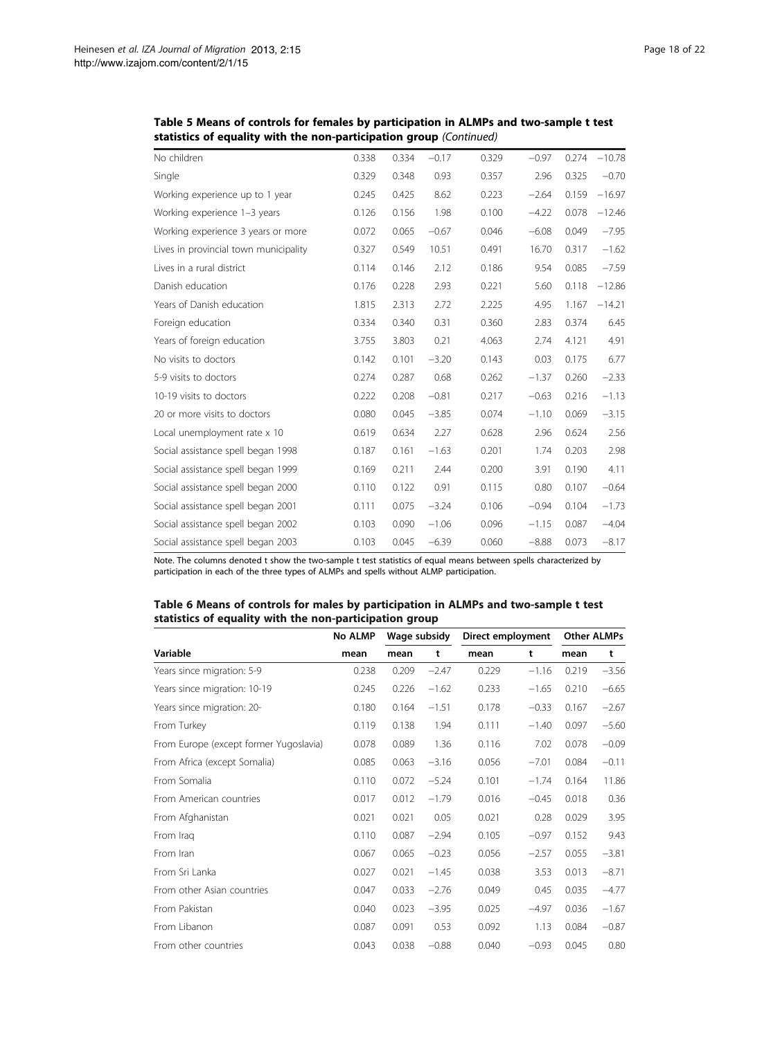<span id="page-17-0"></span>Table 5 Means of controls for females by participation in ALMPs and two-sample t test statistics of equality with the non-participation group (Continued)

| No children                           | 0.338 | 0.334 | $-0.17$ | 0.329 | $-0.97$ | 0.274 | $-10.78$ |
|---------------------------------------|-------|-------|---------|-------|---------|-------|----------|
|                                       |       |       |         |       |         |       |          |
| Single                                | 0.329 | 0.348 | 0.93    | 0.357 | 2.96    | 0.325 | $-0.70$  |
| Working experience up to 1 year       | 0.245 | 0.425 | 8.62    | 0.223 | $-2.64$ | 0.159 | $-16.97$ |
| Working experience 1-3 years          | 0.126 | 0.156 | 1.98    | 0.100 | $-4.22$ | 0.078 | $-12.46$ |
| Working experience 3 years or more    | 0.072 | 0.065 | $-0.67$ | 0.046 | $-6.08$ | 0.049 | $-7.95$  |
| Lives in provincial town municipality | 0.327 | 0.549 | 10.51   | 0.491 | 16.70   | 0.317 | $-1.62$  |
| Lives in a rural district             | 0.114 | 0.146 | 2.12    | 0.186 | 9.54    | 0.085 | $-7.59$  |
| Danish education                      | 0.176 | 0.228 | 2.93    | 0.221 | 5.60    | 0.118 | $-12.86$ |
| Years of Danish education             | 1.815 | 2.313 | 2.72    | 2.225 | 4.95    | 1.167 | $-14.21$ |
| Foreign education                     | 0.334 | 0.340 | 0.31    | 0.360 | 2.83    | 0.374 | 6.45     |
| Years of foreign education            | 3.755 | 3.803 | 0.21    | 4.063 | 2.74    | 4.121 | 4.91     |
| No visits to doctors                  | 0.142 | 0.101 | $-3.20$ | 0.143 | 0.03    | 0.175 | 6.77     |
| 5-9 visits to doctors                 | 0.274 | 0.287 | 0.68    | 0.262 | $-1.37$ | 0.260 | $-2.33$  |
| 10-19 visits to doctors               | 0.222 | 0.208 | $-0.81$ | 0.217 | $-0.63$ | 0.216 | $-1.13$  |
| 20 or more visits to doctors          | 0.080 | 0.045 | $-3.85$ | 0.074 | $-1.10$ | 0.069 | $-3.15$  |
| Local unemployment rate x 10          | 0.619 | 0.634 | 2.27    | 0.628 | 2.96    | 0.624 | 2.56     |
| Social assistance spell began 1998    | 0.187 | 0.161 | $-1.63$ | 0.201 | 1.74    | 0.203 | 2.98     |
| Social assistance spell began 1999    | 0.169 | 0.211 | 2.44    | 0.200 | 3.91    | 0.190 | 4.11     |
| Social assistance spell began 2000    | 0.110 | 0.122 | 0.91    | 0.115 | 0.80    | 0.107 | $-0.64$  |
| Social assistance spell began 2001    | 0.111 | 0.075 | $-3.24$ | 0.106 | $-0.94$ | 0.104 | $-1.73$  |
| Social assistance spell began 2002    | 0.103 | 0.090 | $-1.06$ | 0.096 | $-1.15$ | 0.087 | $-4.04$  |
| Social assistance spell began 2003    | 0.103 | 0.045 | $-6.39$ | 0.060 | $-8.88$ | 0.073 | $-8.17$  |

Note. The columns denoted t show the two-sample t test statistics of equal means between spells characterized by participation in each of the three types of ALMPs and spells without ALMP participation.

## Table 6 Means of controls for males by participation in ALMPs and two-sample t test statistics of equality with the non-participation group

|                                        | <b>No ALMP</b> | Wage subsidy |         | Direct employment |         | <b>Other ALMPs</b> |         |
|----------------------------------------|----------------|--------------|---------|-------------------|---------|--------------------|---------|
| Variable                               | mean           | mean         | t       | mean              | t       | mean               | t       |
| Years since migration: 5-9             | 0.238          | 0.209        | $-2.47$ | 0.229             | $-1.16$ | 0.219              | $-3.56$ |
| Years since migration: 10-19           | 0.245          | 0.226        | $-1.62$ | 0.233             | $-1.65$ | 0.210              | $-6.65$ |
| Years since migration: 20-             | 0.180          | 0.164        | $-1.51$ | 0.178             | $-0.33$ | 0.167              | $-2.67$ |
| From Turkey                            | 0.119          | 0.138        | 1.94    | 0.111             | $-1.40$ | 0.097              | $-5.60$ |
| From Europe (except former Yugoslavia) | 0.078          | 0.089        | 1.36    | 0.116             | 7.02    | 0.078              | $-0.09$ |
| From Africa (except Somalia)           | 0.085          | 0.063        | $-3.16$ | 0.056             | $-7.01$ | 0.084              | $-0.11$ |
| From Somalia                           | 0.110          | 0.072        | $-5.24$ | 0.101             | $-1.74$ | 0.164              | 11.86   |
| From American countries                | 0.017          | 0.012        | $-1.79$ | 0.016             | $-0.45$ | 0.018              | 0.36    |
| From Afghanistan                       | 0.021          | 0.021        | 0.05    | 0.021             | 0.28    | 0.029              | 3.95    |
| From Iraq                              | 0.110          | 0.087        | $-2.94$ | 0.105             | $-0.97$ | 0.152              | 9.43    |
| From Iran                              | 0.067          | 0.065        | $-0.23$ | 0.056             | $-2.57$ | 0.055              | $-3.81$ |
| From Sri Lanka                         | 0.027          | 0.021        | $-1.45$ | 0.038             | 3.53    | 0.013              | $-8.71$ |
| From other Asian countries             | 0.047          | 0.033        | $-2.76$ | 0.049             | 0.45    | 0.035              | $-4.77$ |
| From Pakistan                          | 0.040          | 0.023        | $-3.95$ | 0.025             | $-4.97$ | 0.036              | $-1.67$ |
| From Libanon                           | 0.087          | 0.091        | 0.53    | 0.092             | 1.13    | 0.084              | $-0.87$ |
| From other countries                   | 0.043          | 0.038        | $-0.88$ | 0.040             | $-0.93$ | 0.045              | 0.80    |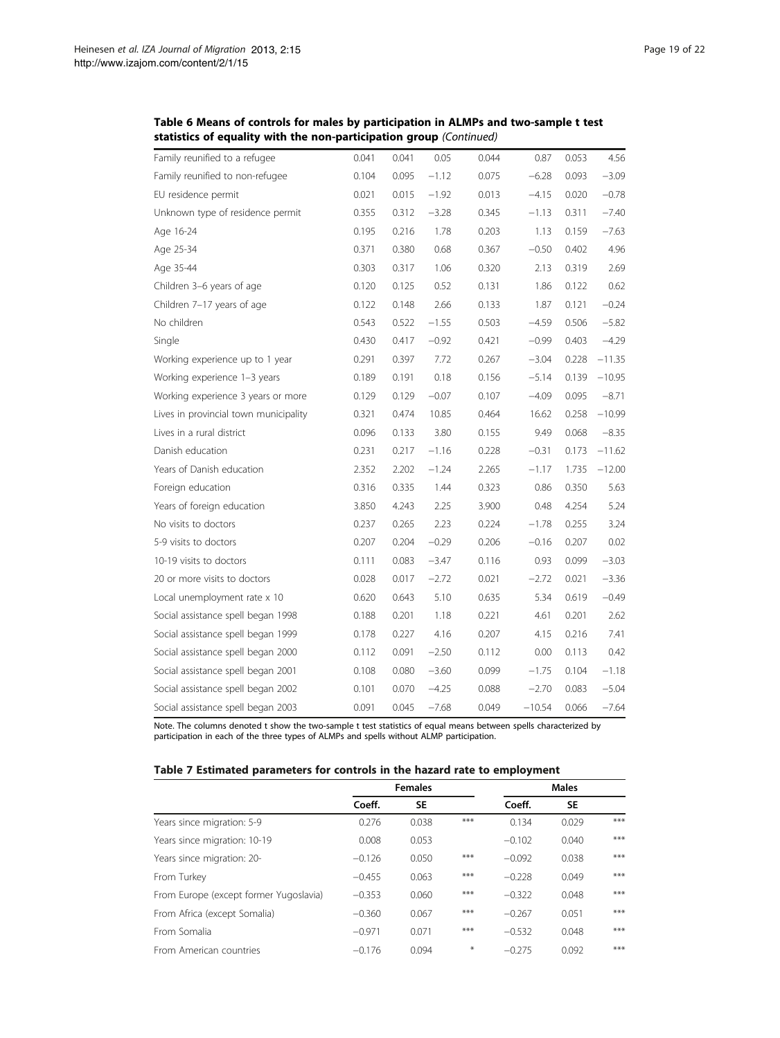<span id="page-18-0"></span>Table 6 Means of controls for males by participation in ALMPs and two-sample t test statistics of equality with the non-participation group (Continued)

| Family reunified to a refugee         | 0.041 | 0.041 | 0.05    | 0.044 | 0.87     | 0.053 | 4.56     |
|---------------------------------------|-------|-------|---------|-------|----------|-------|----------|
| Family reunified to non-refugee       | 0.104 | 0.095 | $-1.12$ | 0.075 | $-6.28$  | 0.093 | $-3.09$  |
| EU residence permit                   | 0.021 | 0.015 | $-1.92$ | 0.013 | $-4.15$  | 0.020 | $-0.78$  |
| Unknown type of residence permit      | 0.355 | 0.312 | $-3.28$ | 0.345 | $-1.13$  | 0.311 | $-7.40$  |
| Age 16-24                             | 0.195 | 0.216 | 1.78    | 0.203 | 1.13     | 0.159 | $-7.63$  |
| Age 25-34                             | 0.371 | 0.380 | 0.68    | 0.367 | $-0.50$  | 0.402 | 4.96     |
| Age 35-44                             | 0.303 | 0.317 | 1.06    | 0.320 | 2.13     | 0.319 | 2.69     |
| Children 3-6 years of age             | 0.120 | 0.125 | 0.52    | 0.131 | 1.86     | 0.122 | 0.62     |
| Children 7-17 years of age            | 0.122 | 0.148 | 2.66    | 0.133 | 1.87     | 0.121 | $-0.24$  |
| No children                           | 0.543 | 0.522 | $-1.55$ | 0.503 | $-4.59$  | 0.506 | $-5.82$  |
| Single                                | 0.430 | 0.417 | $-0.92$ | 0.421 | $-0.99$  | 0.403 | $-4.29$  |
| Working experience up to 1 year       | 0.291 | 0.397 | 7.72    | 0.267 | $-3.04$  | 0.228 | $-11.35$ |
| Working experience 1-3 years          | 0.189 | 0.191 | 0.18    | 0.156 | $-5.14$  | 0.139 | $-10.95$ |
| Working experience 3 years or more    | 0.129 | 0.129 | $-0.07$ | 0.107 | $-4.09$  | 0.095 | $-8.71$  |
| Lives in provincial town municipality | 0.321 | 0.474 | 10.85   | 0.464 | 16.62    | 0.258 | $-10.99$ |
| Lives in a rural district             | 0.096 | 0.133 | 3.80    | 0.155 | 9.49     | 0.068 | $-8.35$  |
| Danish education                      | 0.231 | 0.217 | $-1.16$ | 0.228 | $-0.31$  | 0.173 | $-11.62$ |
| Years of Danish education             | 2.352 | 2.202 | $-1.24$ | 2.265 | $-1.17$  | 1.735 | $-12.00$ |
| Foreign education                     | 0.316 | 0.335 | 1.44    | 0.323 | 0.86     | 0.350 | 5.63     |
| Years of foreign education            | 3.850 | 4.243 | 2.25    | 3.900 | 0.48     | 4.254 | 5.24     |
| No visits to doctors                  | 0.237 | 0.265 | 2.23    | 0.224 | $-1.78$  | 0.255 | 3.24     |
| 5-9 visits to doctors                 | 0.207 | 0.204 | $-0.29$ | 0.206 | $-0.16$  | 0.207 | 0.02     |
| 10-19 visits to doctors               | 0.111 | 0.083 | $-3.47$ | 0.116 | 0.93     | 0.099 | $-3.03$  |
| 20 or more visits to doctors          | 0.028 | 0.017 | $-2.72$ | 0.021 | $-2.72$  | 0.021 | $-3.36$  |
| Local unemployment rate x 10          | 0.620 | 0.643 | 5.10    | 0.635 | 5.34     | 0.619 | $-0.49$  |
| Social assistance spell began 1998    | 0.188 | 0.201 | 1.18    | 0.221 | 4.61     | 0.201 | 2.62     |
| Social assistance spell began 1999    | 0.178 | 0.227 | 4.16    | 0.207 | 4.15     | 0.216 | 7.41     |
| Social assistance spell began 2000    | 0.112 | 0.091 | $-2.50$ | 0.112 | 0.00     | 0.113 | 0.42     |
| Social assistance spell began 2001    | 0.108 | 0.080 | $-3.60$ | 0.099 | $-1.75$  | 0.104 | $-1.18$  |
| Social assistance spell began 2002    | 0.101 | 0.070 | $-4.25$ | 0.088 | $-2.70$  | 0.083 | $-5.04$  |
| Social assistance spell began 2003    | 0.091 | 0.045 | $-7.68$ | 0.049 | $-10.54$ | 0.066 | $-7.64$  |

Note. The columns denoted t show the two-sample t test statistics of equal means between spells characterized by participation in each of the three types of ALMPs and spells without ALMP participation.

| Table 7 Estimated parameters for controls in the hazard rate to employment |  |  |  |  |
|----------------------------------------------------------------------------|--|--|--|--|
|----------------------------------------------------------------------------|--|--|--|--|

|                                        |          | <b>Females</b> |        | <b>Males</b> |           |     |  |
|----------------------------------------|----------|----------------|--------|--------------|-----------|-----|--|
|                                        | Coeff.   | <b>SE</b>      |        | Coeff.       | <b>SE</b> |     |  |
| Years since migration: 5-9             | 0.276    | 0.038          | ***    | 0.134        | 0.029     | *** |  |
| Years since migration: 10-19           | 0.008    | 0.053          |        | $-0.102$     | 0.040     | *** |  |
| Years since migration: 20-             | $-0.126$ | 0.050          | $***$  | $-0.092$     | 0.038     | *** |  |
| From Turkey                            | $-0.455$ | 0.063          | ***    | $-0.228$     | 0.049     | *** |  |
| From Europe (except former Yugoslavia) | $-0.353$ | 0.060          | ***    | $-0.322$     | 0.048     | *** |  |
| From Africa (except Somalia)           | $-0.360$ | 0.067          | ***    | $-0.267$     | 0.051     | *** |  |
| From Somalia                           | $-0.971$ | 0.071          | ***    | $-0.532$     | 0.048     | *** |  |
| From American countries                | $-0.176$ | 0.094          | $\ast$ | $-0.275$     | 0.092     | *** |  |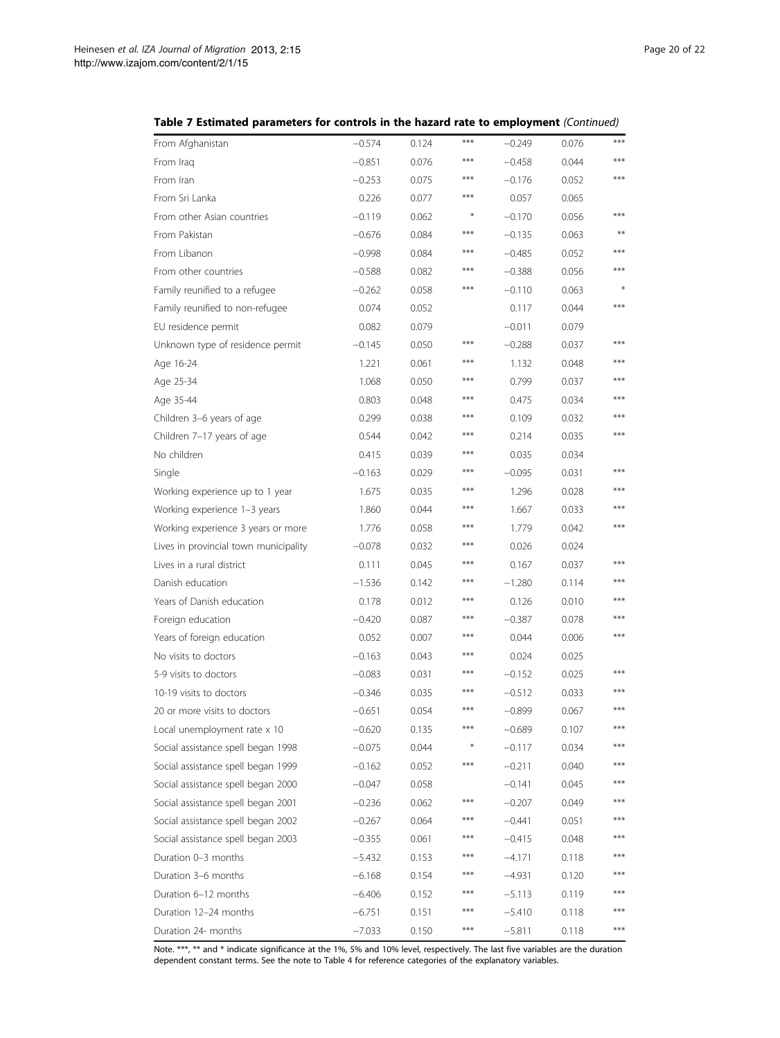|  |  | Table 7 Estimated parameters for controls in the hazard rate to employment (Continued) |  |  |  |  |  |  |
|--|--|----------------------------------------------------------------------------------------|--|--|--|--|--|--|
|--|--|----------------------------------------------------------------------------------------|--|--|--|--|--|--|

| From Afghanistan                      | $-0.574$ | 0.124 | ***   | $-0.249$ | 0.076 | *** |
|---------------------------------------|----------|-------|-------|----------|-------|-----|
| From Iraq                             | $-0.851$ | 0.076 | ***   | $-0.458$ | 0.044 | *** |
| From Iran                             | $-0.253$ | 0.075 | ***   | $-0.176$ | 0.052 | *** |
| From Sri Lanka                        | 0.226    | 0.077 | ***   | 0.057    | 0.065 |     |
| From other Asian countries            | $-0.119$ | 0.062 | ⋇     | $-0.170$ | 0.056 | *** |
| From Pakistan                         | $-0.676$ | 0.084 | ***   | $-0.135$ | 0.063 | **  |
| From Libanon                          | $-0.998$ | 0.084 | ***   | $-0.485$ | 0.052 | *** |
| From other countries                  | $-0.588$ | 0.082 | ***   | $-0.388$ | 0.056 | *** |
| Family reunified to a refugee         | $-0.262$ | 0.058 | ***   | $-0.110$ | 0.063 |     |
| Family reunified to non-refugee       | 0.074    | 0.052 |       | 0.117    | 0.044 | *** |
| EU residence permit                   | 0.082    | 0.079 |       | $-0.011$ | 0.079 |     |
| Unknown type of residence permit      | $-0.145$ | 0.050 | $***$ | $-0.288$ | 0.037 | *** |
| Age 16-24                             | 1.221    | 0.061 | ***   | 1.132    | 0.048 | *** |
| Age 25-34                             | 1.068    | 0.050 | ***   | 0.799    | 0.037 | *** |
| Age 35-44                             | 0.803    | 0.048 | ***   | 0.475    | 0.034 | *** |
| Children 3-6 years of age             | 0.299    | 0.038 | ***   | 0.109    | 0.032 | *** |
| Children 7-17 years of age            | 0.544    | 0.042 | ***   | 0.214    | 0.035 | *** |
| No children                           | 0.415    | 0.039 | ***   | 0.035    | 0.034 |     |
| Single                                | $-0.163$ | 0.029 | ***   | $-0.095$ | 0.031 | *** |
| Working experience up to 1 year       | 1.675    | 0.035 | ***   | 1.296    | 0.028 | *** |
| Working experience 1-3 years          | 1.860    | 0.044 | ***   | 1.667    | 0.033 | *** |
| Working experience 3 years or more    | 1.776    | 0.058 | ***   | 1.779    | 0.042 | *** |
| Lives in provincial town municipality | $-0.078$ | 0.032 | ***   | 0.026    | 0.024 |     |
| Lives in a rural district             | 0.111    | 0.045 | ***   | 0.167    | 0.037 | *** |
| Danish education                      | $-1.536$ | 0.142 | ***   | $-1.280$ | 0.114 | *** |
| Years of Danish education             | 0.178    | 0.012 | ***   | 0.126    | 0.010 | *** |
| Foreign education                     | $-0.420$ | 0.087 | ***   | $-0.387$ | 0.078 | *** |
| Years of foreign education            | 0.052    | 0.007 | ***   | 0.044    | 0.006 | *** |
| No visits to doctors                  | $-0.163$ | 0.043 | ***   | 0.024    | 0.025 |     |
| 5-9 visits to doctors                 | $-0.083$ | 0.031 | ***   | $-0.152$ | 0.025 | *** |
| 10-19 visits to doctors               | $-0.346$ | 0.035 | ***   | $-0.512$ | 0.033 | *** |
| 20 or more visits to doctors          | $-0.651$ | 0.054 | ***   | $-0.899$ | 0.067 | *** |
| Local unemployment rate x 10          | $-0.620$ | 0.135 | $***$ | $-0.689$ | 0.107 | *** |
| Social assistance spell began 1998    | $-0.075$ | 0.044 |       | $-0.117$ | 0.034 | *** |
| Social assistance spell began 1999    | $-0.162$ | 0.052 | ***   | $-0.211$ | 0.040 | *** |
| Social assistance spell began 2000    | $-0.047$ | 0.058 |       | $-0.141$ | 0.045 | *** |
| Social assistance spell began 2001    | $-0.236$ | 0.062 | ***   | $-0.207$ | 0.049 | *** |
| Social assistance spell began 2002    | $-0.267$ | 0.064 | ***   | $-0.441$ | 0.051 | *** |
| Social assistance spell began 2003    | $-0.355$ | 0.061 | ***   | $-0.415$ | 0.048 | *** |
| Duration 0-3 months                   | $-5.432$ | 0.153 | ***   | $-4.171$ | 0.118 | *** |
| Duration 3-6 months                   | $-6.168$ | 0.154 | ***   | $-4.931$ | 0.120 | *** |
| Duration 6-12 months                  | $-6.406$ | 0.152 | ***   | $-5.113$ | 0.119 | *** |
| Duration 12-24 months                 | $-6.751$ | 0.151 | ***   | $-5.410$ | 0.118 | *** |
| Duration 24- months                   | $-7.033$ | 0.150 | $***$ | $-5.811$ | 0.118 | *** |

Note. \*\*\*, \*\* and \* indicate significance at the 1%, 5% and 10% level, respectively. The last five variables are the duration dependent constant terms. See the note to Table [4](#page-15-0) for reference categories of the explanatory variables.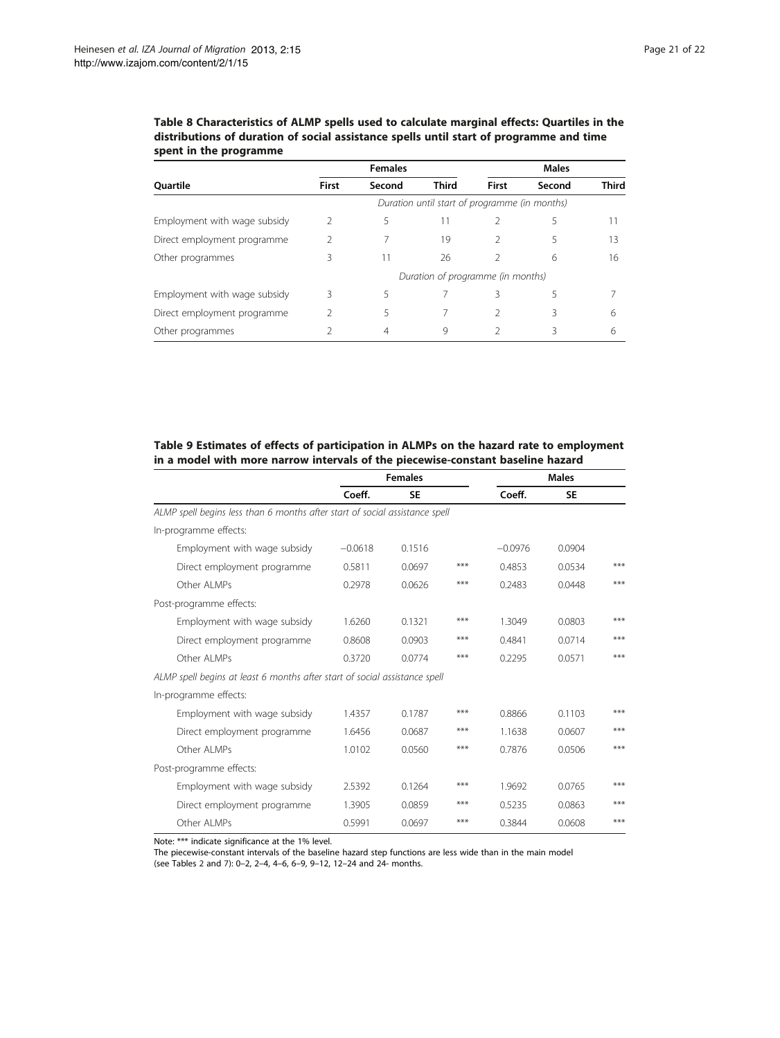|                              |                                               | <b>Females</b> |                                   | <b>Males</b> |        |              |  |
|------------------------------|-----------------------------------------------|----------------|-----------------------------------|--------------|--------|--------------|--|
| <b>Ouartile</b>              | First                                         | Second         | <b>Third</b>                      | <b>First</b> | Second | <b>Third</b> |  |
|                              | Duration until start of programme (in months) |                |                                   |              |        |              |  |
| Employment with wage subsidy |                                               | 5              | 11                                |              |        |              |  |
| Direct employment programme  |                                               | 7              | 19                                | V            | 5      | 13           |  |
| Other programmes             | 3                                             | 11             | 26                                |              | 6      | 16           |  |
|                              |                                               |                | Duration of programme (in months) |              |        |              |  |
| Employment with wage subsidy | 3                                             | 5              |                                   | ੨            |        |              |  |
| Direct employment programme  |                                               | 5              |                                   | V            |        | 6            |  |
| Other programmes             |                                               | 4              | 9                                 |              |        | 6            |  |

### <span id="page-20-0"></span>Table 8 Characteristics of ALMP spells used to calculate marginal effects: Quartiles in the distributions of duration of social assistance spells until start of programme and time spent in the programme

#### Table 9 Estimates of effects of participation in ALMPs on the hazard rate to employment in a model with more narrow intervals of the piecewise-constant baseline hazard

| <b>Females</b> |           |     | <b>Males</b>                                                                                                                                              |           |     |
|----------------|-----------|-----|-----------------------------------------------------------------------------------------------------------------------------------------------------------|-----------|-----|
| Coeff.         | <b>SE</b> |     | Coeff.                                                                                                                                                    | <b>SE</b> |     |
|                |           |     |                                                                                                                                                           |           |     |
|                |           |     |                                                                                                                                                           |           |     |
| $-0.0618$      | 0.1516    |     | $-0.0976$                                                                                                                                                 | 0.0904    |     |
| 0.5811         | 0.0697    | *** | 0.4853                                                                                                                                                    | 0.0534    | *** |
| 0.2978         | 0.0626    | *** | 0.2483                                                                                                                                                    | 0.0448    | *** |
|                |           |     |                                                                                                                                                           |           |     |
| 1.6260         | 0.1321    | *** | 1.3049                                                                                                                                                    | 0.0803    | *** |
| 0.8608         | 0.0903    | *** | 0.4841                                                                                                                                                    | 00714     | *** |
| 0.3720         | 0.0774    | *** | 0.2295                                                                                                                                                    | 0.0571    | *** |
|                |           |     |                                                                                                                                                           |           |     |
|                |           |     |                                                                                                                                                           |           |     |
| 1.4357         | 0.1787    | *** | 0.8866                                                                                                                                                    | 0.1103    | *** |
| 1.6456         | 0.0687    | *** | 1.1638                                                                                                                                                    | 0.0607    | *** |
| 1.0102         | 0.0560    | *** | 0.7876                                                                                                                                                    | 0.0506    | *** |
|                |           |     |                                                                                                                                                           |           |     |
| 2.5392         | 0.1264    | *** | 1.9692                                                                                                                                                    | 0.0765    | *** |
| 1.3905         | 0.0859    | *** | 0.5235                                                                                                                                                    | 0.0863    | *** |
| 0.5991         | 0.0697    | *** | 0.3844                                                                                                                                                    | 0.0608    | *** |
|                |           |     | ALMP spell begins less than 6 months after start of social assistance spell<br>ALMP spell begins at least 6 months after start of social assistance spell |           |     |

Note: \*\*\* indicate significance at the 1% level.

The piecewise-constant intervals of the baseline hazard step functions are less wide than in the main model (see Tables [2](#page-9-0) and [7\)](#page-18-0): 0–2, 2–4, 4–6, 6–9, 9–12, 12–24 and 24- months.